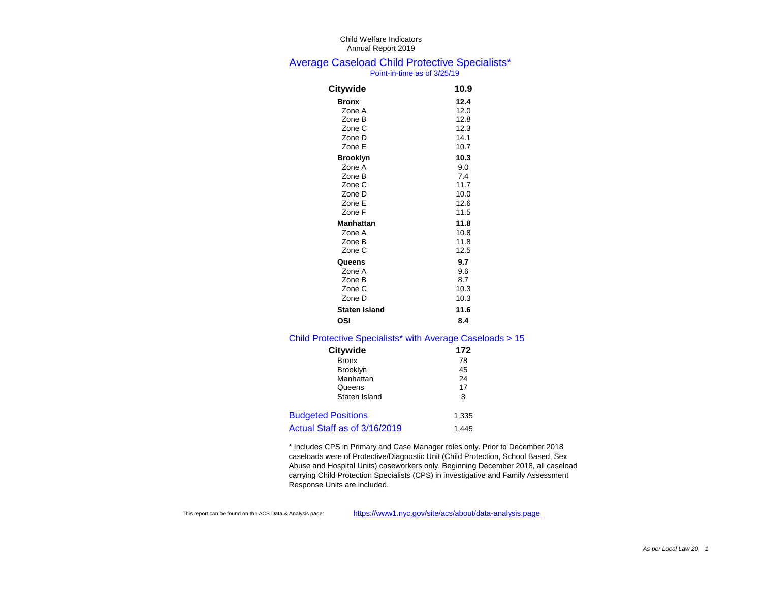#### Average Caseload Child Protective Specialists\* Point-in-time as of 3/25/19

| <b>Citywide</b>      | 10.9 |
|----------------------|------|
| <b>Bronx</b>         | 12.4 |
| Zone A               | 12.0 |
| Zone B               | 12.8 |
| Zone C               | 12.3 |
| Zone D               | 14.1 |
| Zone E               | 10.7 |
| <b>Brooklyn</b>      | 10.3 |
| Zone A               | 9.0  |
| Zone B               | 74   |
| Zone C               | 11.7 |
| Zone D               | 10.0 |
| Zone E               | 12.6 |
| Zone F               | 11.5 |
| Manhattan            | 11.8 |
| Zone A               | 10.8 |
| Zone B               | 11.8 |
| Zone C               | 12.5 |
| Queens               | 9.7  |
| Zone A               | 9.6  |
| Zone B               | 8.7  |
| Zone C               | 10.3 |
| Zone D               | 10.3 |
| <b>Staten Island</b> | 11.6 |
| OSI                  | 8.4  |

#### Child Protective Specialists\* with Average Caseloads > 15

| <b>Citywide</b>              | 172   |
|------------------------------|-------|
| <b>Bronx</b>                 | 78    |
| <b>Brooklyn</b>              | 45    |
| Manhattan                    | 24    |
| Queens                       | 17    |
| Staten Island                | 8     |
| <b>Budgeted Positions</b>    | 1,335 |
| Actual Staff as of 3/16/2019 | 1.445 |

\* Includes CPS in Primary and Case Manager roles only. Prior to December 2018 caseloads were of Protective/Diagnostic Unit (Child Protection, School Based, Sex Abuse and Hospital Units) caseworkers only. Beginning December 2018, all caseload carrying Child Protection Specialists (CPS) in investigative and Family Assessment Response Units are included.

This report can be found on the ACS Data & Analysis page: https://www1.nyc.gov/site/acs/about/data-analysis.page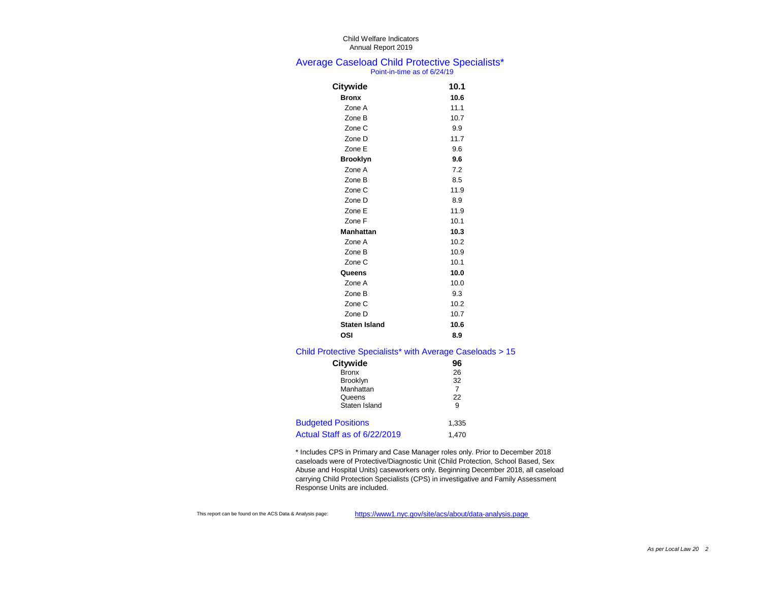#### Average Caseload Child Protective Specialists\* Point-in-time as of 6/24/19

| Citywide             | 10.1 |
|----------------------|------|
| <b>Bronx</b>         | 10.6 |
| Zone A               | 11.1 |
| Zone B               | 10.7 |
| Zone C               | 9.9  |
| Zone D               | 11.7 |
| Zone E               | 9.6  |
| <b>Brooklyn</b>      | 9.6  |
| Zone A               | 7.2  |
| Zone B               | 8.5  |
| Zone C               | 11.9 |
| Zone D               | 8.9  |
| Zone E               | 11.9 |
| Zone F               | 10.1 |
| <b>Manhattan</b>     | 10.3 |
| Zone A               | 10.2 |
| Zone B               | 10.9 |
| Zone C               | 10.1 |
| Queens               | 10.0 |
| Zone A               | 10.0 |
| Zone B               | 9.3  |
| Zone C               | 10.2 |
| Zone D               | 10.7 |
| <b>Staten Island</b> | 10.6 |
| OSI                  | 8.9  |
|                      |      |

### Child Protective Specialists\* with Average Caseloads > 15

| <b>Citywide</b>              | 96    |
|------------------------------|-------|
| <b>Bronx</b>                 | 26    |
| <b>Brooklyn</b>              | 32    |
| Manhattan                    | 7     |
| Queens                       | 22    |
| Staten Island                | 9     |
| <b>Budgeted Positions</b>    | 1,335 |
| Actual Staff as of 6/22/2019 | 1.470 |

\* Includes CPS in Primary and Case Manager roles only. Prior to December 2018 caseloads were of Protective/Diagnostic Unit (Child Protection, School Based, Sex Abuse and Hospital Units) caseworkers only. Beginning December 2018, all caseload carrying Child Protection Specialists (CPS) in investigative and Family Assessment Response Units are included.

This report can be found on the ACS Data & Analysis page: https://www1.nyc.gov/site/acs/about/data-analysis.page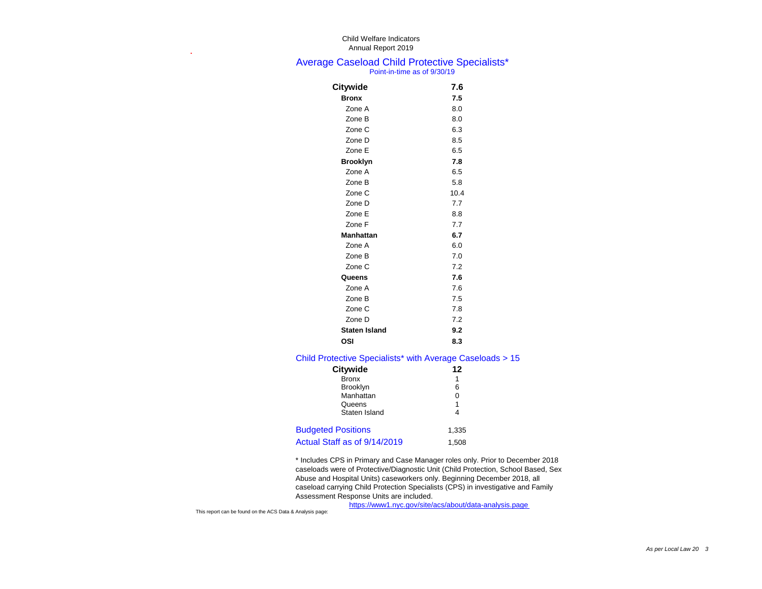#### Average Caseload Child Protective Specialists\* Point-in-time as of 9/30/19

| <b>Citywide</b>      | 7.6  |
|----------------------|------|
| <b>Bronx</b>         | 7.5  |
| Zone A               | 8.0  |
| Zone B               | 8.0  |
| Zone C               | 6.3  |
| Zone D               | 8.5  |
| Zone E               | 6.5  |
| <b>Brooklyn</b>      | 7.8  |
| Zone A               | 6.5  |
| Zone B               | 5.8  |
| Zone C               | 10.4 |
| Zone D               | 7.7  |
| Zone E               | 8.8  |
| Zone F               | 7.7  |
| <b>Manhattan</b>     | 6.7  |
| Zone A               | 6.0  |
| Zone B               | 7.0  |
| Zone C               | 7.2  |
| Queens               | 7.6  |
| Zone A               | 7.6  |
| Zone B               | 7.5  |
| Zone C               | 7.8  |
| Zone D               | 7.2  |
| <b>Staten Island</b> | 9.2  |
| OSI                  | 8.3  |
|                      |      |

#### Child Protective Specialists\* with Average Caseloads > 15

| <b>Citywide</b>              | 12    |
|------------------------------|-------|
| <b>Bronx</b>                 | 1     |
| <b>Brooklyn</b>              | 6     |
| Manhattan                    | 0     |
| Queens                       | 1     |
| Staten Island                | 4     |
| <b>Budgeted Positions</b>    | 1,335 |
| Actual Staff as of 9/14/2019 | 1.508 |

\* Includes CPS in Primary and Case Manager roles only. Prior to December 2018 caseloads were of Protective/Diagnostic Unit (Child Protection, School Based, Sex Abuse and Hospital Units) caseworkers only. Beginning December 2018, all caseload carrying Child Protection Specialists (CPS) in investigative and Family Assessment Response Units are included. https://www1.nyc.gov/site/acs/about/data-analysis.page

This report can be found on the ACS Data & Analysis page:

**.**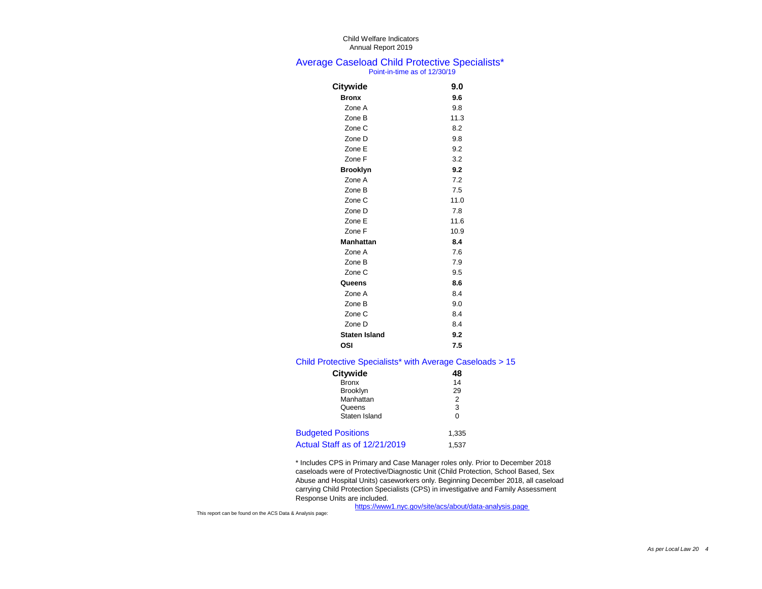#### Average Caseload Child Protective Specialists\* Point-in-time as of 12/30/19

| <b>Citywide</b>      | 9.0  |
|----------------------|------|
| <b>Bronx</b>         | 9.6  |
| Zone A               | 9.8  |
| Zone B               | 11.3 |
| Zone C               | 8.2  |
| Zone D               | 9.8  |
| Zone E               | 9.2  |
| Zone F               | 3.2  |
| <b>Brooklyn</b>      | 9.2  |
| Zone A               | 7.2  |
| Zone B               | 7.5  |
| Zone C               | 11.0 |
| Zone D               | 7.8  |
| Zone E               | 11.6 |
| Zone F               | 10.9 |
| <b>Manhattan</b>     | 8.4  |
| Zone A               | 7.6  |
| Zone B               | 7.9  |
| Zone C               | 9.5  |
| Queens               | 8.6  |
| Zone A               | 8.4  |
| Zone B               | 9.0  |
| Zone C               | 8.4  |
| Zone D               | 8.4  |
| <b>Staten Island</b> | 9.2  |
| OSI                  | 7.5  |

#### Child Protective Specialists\* with Average Caseloads > 15

| <b>Citywide</b>               | 48    |
|-------------------------------|-------|
| <b>Bronx</b>                  | 14    |
| <b>Brooklyn</b>               | 29    |
| Manhattan                     | 2     |
| Queens                        | 3     |
| Staten Island                 | 0     |
| <b>Budgeted Positions</b>     | 1,335 |
| Actual Staff as of 12/21/2019 | 1,537 |

\* Includes CPS in Primary and Case Manager roles only. Prior to December 2018 caseloads were of Protective/Diagnostic Unit (Child Protection, School Based, Sex Abuse and Hospital Units) caseworkers only. Beginning December 2018, all caseload carrying Child Protection Specialists (CPS) in investigative and Family Assessment Response Units are included.

https://www1.nyc.gov/site/acs/about/data-analysis.page

This report can be found on the ACS Data & Analysis page: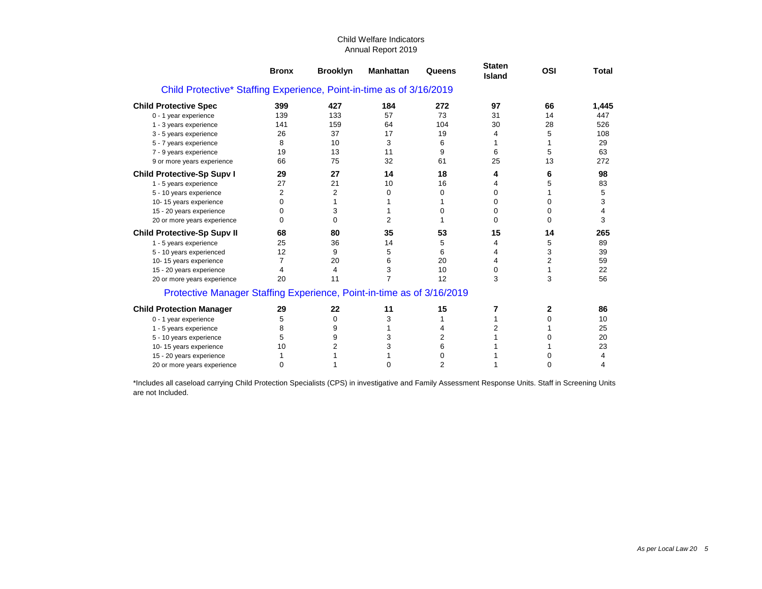|                                                                       | <b>Bronx</b> | <b>Brooklyn</b> | <b>Manhattan</b> | Queens         | <b>Staten</b><br><b>Island</b> | <b>OSI</b> | <b>Total</b> |
|-----------------------------------------------------------------------|--------------|-----------------|------------------|----------------|--------------------------------|------------|--------------|
| Child Protective* Staffing Experience, Point-in-time as of 3/16/2019  |              |                 |                  |                |                                |            |              |
| <b>Child Protective Spec</b>                                          | 399          | 427             | 184              | 272            | 97                             | 66         | 1,445        |
| 0 - 1 year experience                                                 | 139          | 133             | 57               | 73             | 31                             | 14         | 447          |
| 1 - 3 years experience                                                | 141          | 159             | 64               | 104            | 30                             | 28         | 526          |
| 3 - 5 years experience                                                | 26           | 37              | 17               | 19             | 4                              | 5          | 108          |
| 5 - 7 years experience                                                | 8            | 10              | 3                | 6              |                                |            | 29           |
| 7 - 9 years experience                                                | 19           | 13              | 11               | 9              | 6                              | 5          | 63           |
| 9 or more years experience                                            | 66           | 75              | 32               | 61             | 25                             | 13         | 272          |
| <b>Child Protective-Sp Supv I</b>                                     | 29           | 27              | 14               | 18             | 4                              | 6          | 98           |
| 1 - 5 years experience                                                | 27           | 21              | 10               | 16             | 4                              | 5          | 83           |
| 5 - 10 years experience                                               | 2            | 2               | 0                | 0              | 0                              |            | 5            |
| 10-15 years experience                                                | 0            |                 |                  |                | 0                              | 0          | 3            |
| 15 - 20 years experience                                              | O            | 3               |                  | 0              | 0                              | O          | 4            |
| 20 or more years experience                                           | 0            | U               | 2                |                | 0                              | O          | 3            |
| <b>Child Protective-Sp Supv II</b>                                    | 68           | 80              | 35               | 53             | 15                             | 14         | 265          |
| 1 - 5 years experience                                                | 25           | 36              | 14               | 5              |                                | 5          | 89           |
| 5 - 10 years experienced                                              | 12           | 9               | 5                | 6              | 4                              | 3          | 39           |
| 10-15 years experience                                                |              | 20              | 6                | 20             | 4                              | 2          | 59           |
| 15 - 20 years experience                                              | 4            | 4               | 3                | 10             | 0                              |            | 22           |
| 20 or more years experience                                           | 20           | 11              | 7                | 12             | 3                              | 3          | 56           |
| Protective Manager Staffing Experience, Point-in-time as of 3/16/2019 |              |                 |                  |                |                                |            |              |
| <b>Child Protection Manager</b>                                       | 29           | 22              | 11               | 15             | 7                              | 2          | 86           |
| 0 - 1 year experience                                                 | 5            | 0               | 3                |                |                                |            | 10           |
| 1 - 5 years experience                                                | 8            | 9               |                  |                | 2                              |            | 25           |
| 5 - 10 years experience                                               | 5            | 9               | 3                | 2              |                                |            | 20           |
| 10-15 years experience                                                | 10           | 2               | 3                | 6              |                                |            | 23           |
| 15 - 20 years experience                                              |              |                 |                  | 0              |                                |            | 4            |
| 20 or more years experience                                           | 0            |                 | 0                | $\overline{2}$ |                                |            | 4            |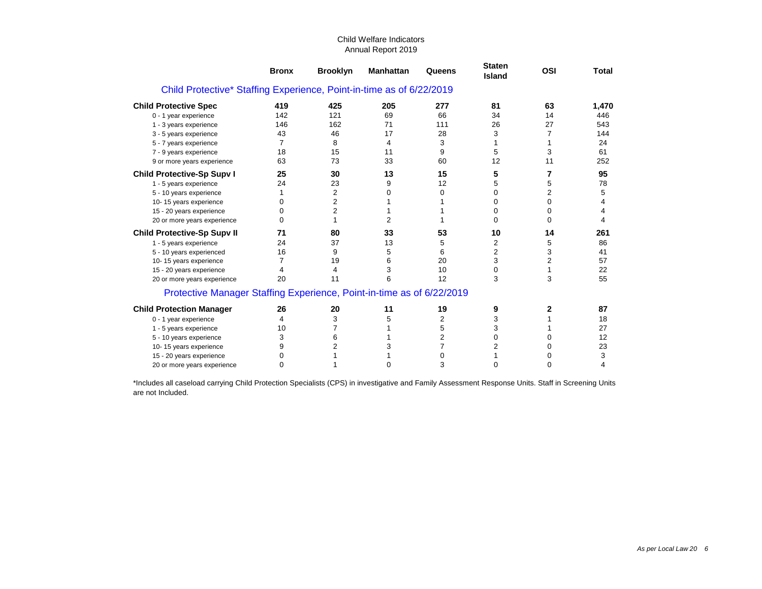|                                                                       | <b>Bronx</b> | <b>Brooklyn</b> | <b>Manhattan</b> | Queens         | <b>Staten</b><br><b>Island</b> | <b>OSI</b> | <b>Total</b> |
|-----------------------------------------------------------------------|--------------|-----------------|------------------|----------------|--------------------------------|------------|--------------|
| Child Protective* Staffing Experience, Point-in-time as of 6/22/2019  |              |                 |                  |                |                                |            |              |
| <b>Child Protective Spec</b>                                          | 419          | 425             | 205              | 277            | 81                             | 63         | 1,470        |
| 0 - 1 year experience                                                 | 142          | 121             | 69               | 66             | 34                             | 14         | 446          |
| 1 - 3 years experience                                                | 146          | 162             | 71               | 111            | 26                             | 27         | 543          |
| 3 - 5 years experience                                                | 43           | 46              | 17               | 28             | 3                              | 7          | 144          |
| 5 - 7 years experience                                                | 7            | 8               | 4                | 3              |                                |            | 24           |
| 7 - 9 years experience                                                | 18           | 15              | 11               | 9              | 5                              | 3          | 61           |
| 9 or more years experience                                            | 63           | 73              | 33               | 60             | 12                             | 11         | 252          |
| <b>Child Protective-Sp Supv I</b>                                     | 25           | 30              | 13               | 15             | 5                              |            | 95           |
| 1 - 5 years experience                                                | 24           | 23              | 9                | 12             | 5                              | 5          | 78           |
| 5 - 10 years experience                                               |              | 2               | 0                | 0              | 0                              | 2          | 5            |
| 10-15 years experience                                                | 0            | 2               |                  |                | 0                              | 0          | 4            |
| 15 - 20 years experience                                              | O            | 2               |                  |                | 0                              | O          | 4            |
| 20 or more years experience                                           | 0            |                 | 2                |                | 0                              | O          | 4            |
| <b>Child Protective-Sp Supv II</b>                                    | 71           | 80              | 33               | 53             | 10                             | 14         | 261          |
| 1 - 5 years experience                                                | 24           | 37              | 13               | 5              | 2                              | 5          | 86           |
| 5 - 10 years experienced                                              | 16           | 9               | 5                | 6              | 2                              | 3          | 41           |
| 10-15 years experience                                                |              | 19              | 6                | 20             | 3                              | 2          | 57           |
| 15 - 20 years experience                                              | 4            | 4               | 3                | 10             | 0                              |            | 22           |
| 20 or more years experience                                           | 20           | 11              | 6                | 12             | 3                              | 3          | 55           |
| Protective Manager Staffing Experience, Point-in-time as of 6/22/2019 |              |                 |                  |                |                                |            |              |
| <b>Child Protection Manager</b>                                       | 26           | 20              | 11               | 19             | 9                              | 2          | 87           |
| 0 - 1 year experience                                                 | 4            | 3               | 5                | 2              | 3                              |            | 18           |
| 1 - 5 years experience                                                | 10           |                 |                  | 5              | 3                              |            | 27           |
| 5 - 10 years experience                                               | 3            | 6               |                  | $\overline{2}$ | 0                              |            | 12           |
| 10-15 years experience                                                | 9            | 2               | 3                | 7              | 2                              |            | 23           |
| 15 - 20 years experience                                              | O            |                 |                  | 0              |                                |            | 3            |
| 20 or more years experience                                           | 0            |                 | U                | 3              | 0                              | 0          | 4            |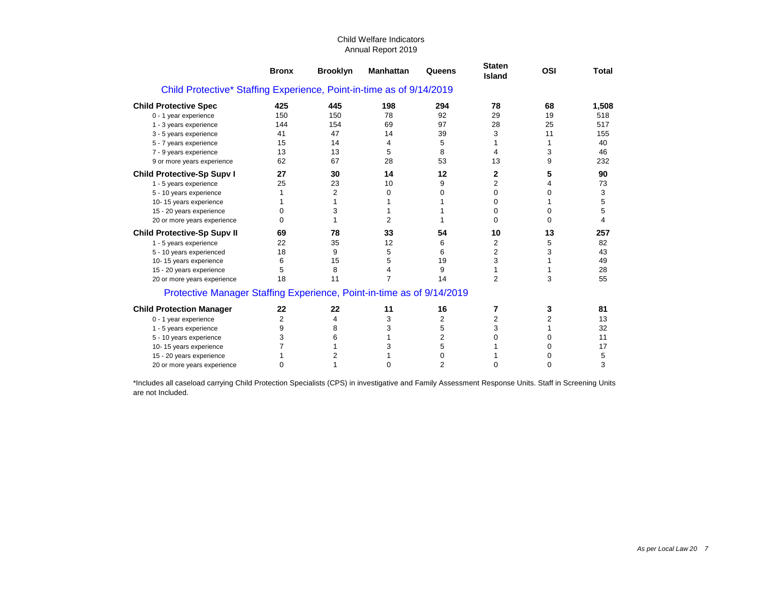|                                                                       | <b>Bronx</b> | <b>Brooklyn</b> | <b>Manhattan</b> | Queens         | <b>Staten</b><br><b>Island</b> | <b>OSI</b> | <b>Total</b> |
|-----------------------------------------------------------------------|--------------|-----------------|------------------|----------------|--------------------------------|------------|--------------|
| Child Protective* Staffing Experience, Point-in-time as of 9/14/2019  |              |                 |                  |                |                                |            |              |
| <b>Child Protective Spec</b>                                          | 425          | 445             | 198              | 294            | 78                             | 68         | 1,508        |
| 0 - 1 year experience                                                 | 150          | 150             | 78               | 92             | 29                             | 19         | 518          |
| 1 - 3 years experience                                                | 144          | 154             | 69               | 97             | 28                             | 25         | 517          |
| 3 - 5 years experience                                                | 41           | 47              | 14               | 39             | 3                              | 11         | 155          |
| 5 - 7 years experience                                                | 15           | 14              | 4                | 5              |                                |            | 40           |
| 7 - 9 years experience                                                | 13           | 13              | 5                | 8              | 4                              | 3          | 46           |
| 9 or more years experience                                            | 62           | 67              | 28               | 53             | 13                             | 9          | 232          |
| <b>Child Protective-Sp Supv I</b>                                     | 27           | 30              | 14               | 12             | 2                              | 5          | 90           |
| 1 - 5 years experience                                                | 25           | 23              | 10               | 9              | 2                              |            | 73           |
| 5 - 10 years experience                                               |              | 2               | 0                | 0              | 0                              | 0          | 3            |
| 10-15 years experience                                                |              |                 |                  |                | 0                              |            | 5            |
| 15 - 20 years experience                                              |              | 3               |                  |                | 0                              | O          | 5            |
| 20 or more years experience                                           | O            |                 | 2                |                | 0                              |            | 4            |
| <b>Child Protective-Sp Supv II</b>                                    | 69           | 78              | 33               | 54             | 10                             | 13         | 257          |
| 1 - 5 years experience                                                | 22           | 35              | 12               | 6              | 2                              | 5          | 82           |
| 5 - 10 years experienced                                              | 18           | 9               | 5                | 6              | $\overline{c}$                 | 3          | 43           |
| 10-15 years experience                                                | 6            | 15              | 5                | 19             | 3                              |            | 49           |
| 15 - 20 years experience                                              | 5            | 8               | 4                | 9              |                                |            | 28           |
| 20 or more years experience                                           | 18           | 11              | 7                | 14             | $\overline{c}$                 | 3          | 55           |
| Protective Manager Staffing Experience, Point-in-time as of 9/14/2019 |              |                 |                  |                |                                |            |              |
| <b>Child Protection Manager</b>                                       | 22           | 22              | 11               | 16             | 7                              | 3          | 81           |
| 0 - 1 year experience                                                 | 2            | 4               | 3                | $\overline{c}$ | 2                              | 2          | 13           |
| 1 - 5 years experience                                                | 9            | 8               | 3                | 5              | 3                              |            | 32           |
| 5 - 10 years experience                                               | 3            | 6               |                  | $\overline{c}$ |                                |            | 11           |
| 10-15 years experience                                                |              |                 | 3                | 5              |                                |            | 17           |
| 15 - 20 years experience                                              |              |                 |                  | 0              |                                |            | 5            |
| 20 or more years experience                                           | 0            |                 | U                | $\overline{c}$ | 0                              | O          | 3            |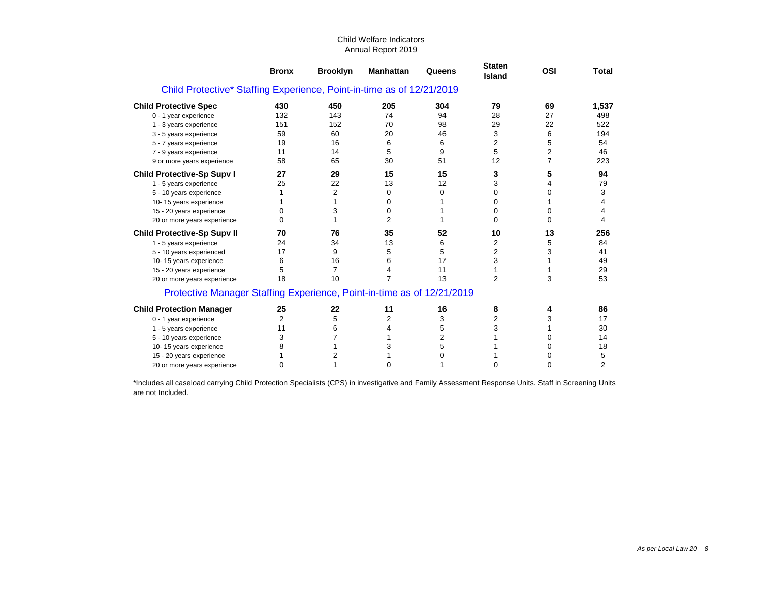|                                                                        | <b>Bronx</b> | <b>Brooklyn</b> | <b>Manhattan</b> | Queens         | <b>Staten</b><br>Island | <b>OSI</b> | <b>Total</b> |
|------------------------------------------------------------------------|--------------|-----------------|------------------|----------------|-------------------------|------------|--------------|
| Child Protective* Staffing Experience, Point-in-time as of 12/21/2019  |              |                 |                  |                |                         |            |              |
| <b>Child Protective Spec</b>                                           | 430          | 450             | 205              | 304            | 79                      | 69         | 1,537        |
| 0 - 1 year experience                                                  | 132          | 143             | 74               | 94             | 28                      | 27         | 498          |
| 1 - 3 years experience                                                 | 151          | 152             | 70               | 98             | 29                      | 22         | 522          |
| 3 - 5 years experience                                                 | 59           | 60              | 20               | 46             | 3                       | 6          | 194          |
| 5 - 7 years experience                                                 | 19           | 16              | 6                | 6              | 2                       | 5          | 54           |
| 7 - 9 years experience                                                 | 11           | 14              | 5                | 9              | 5                       | 2          | 46           |
| 9 or more years experience                                             | 58           | 65              | 30               | 51             | 12                      | 7          | 223          |
| <b>Child Protective-Sp Supv I</b>                                      | 27           | 29              | 15               | 15             | 3                       | 5          | 94           |
| 1 - 5 years experience                                                 | 25           | 22              | 13               | 12             | 3                       | 4          | 79           |
| 5 - 10 years experience                                                |              | $\overline{2}$  | 0                | $\Omega$       | 0                       | 0          | 3            |
| 10-15 years experience                                                 |              |                 | 0                |                | 0                       |            | 4            |
| 15 - 20 years experience                                               | O            | 3               | 0                |                | 0                       | 0          | 4            |
| 20 or more years experience                                            | 0            |                 | $\overline{2}$   |                | U                       | 0          | 4            |
| <b>Child Protective-Sp Supv II</b>                                     | 70           | 76              | 35               | 52             | 10                      | 13         | 256          |
| 1 - 5 years experience                                                 | 24           | 34              | 13               | 6              | 2                       | 5          | 84           |
| 5 - 10 years experienced                                               | 17           | 9               | 5                | 5              | 2                       | 3          | 41           |
| 10-15 years experience                                                 | 6            | 16              | 6                | 17             | 3                       |            | 49           |
| 15 - 20 years experience                                               | 5            | $\overline{7}$  | 4                | 11             |                         |            | 29           |
| 20 or more years experience                                            | 18           | 10              | $\overline{7}$   | 13             | 2                       | 3          | 53           |
| Protective Manager Staffing Experience, Point-in-time as of 12/21/2019 |              |                 |                  |                |                         |            |              |
| <b>Child Protection Manager</b>                                        | 25           | 22              | 11               | 16             | 8                       |            | 86           |
| 0 - 1 year experience                                                  | 2            | 5               | 2                | 3              | 2                       | 3          | 17           |
| 1 - 5 years experience                                                 | 11           | 6               | 4                | 5              | 3                       |            | 30           |
| 5 - 10 years experience                                                | 3            |                 |                  | $\overline{2}$ |                         | 0          | 14           |
| 10-15 years experience                                                 |              |                 | 3                | 5              |                         | O          | 18           |
| 15 - 20 years experience                                               |              | 2               |                  | 0              |                         | 0          | 5            |
| 20 or more years experience                                            | O            |                 | O                |                | 0                       | O.         | 2            |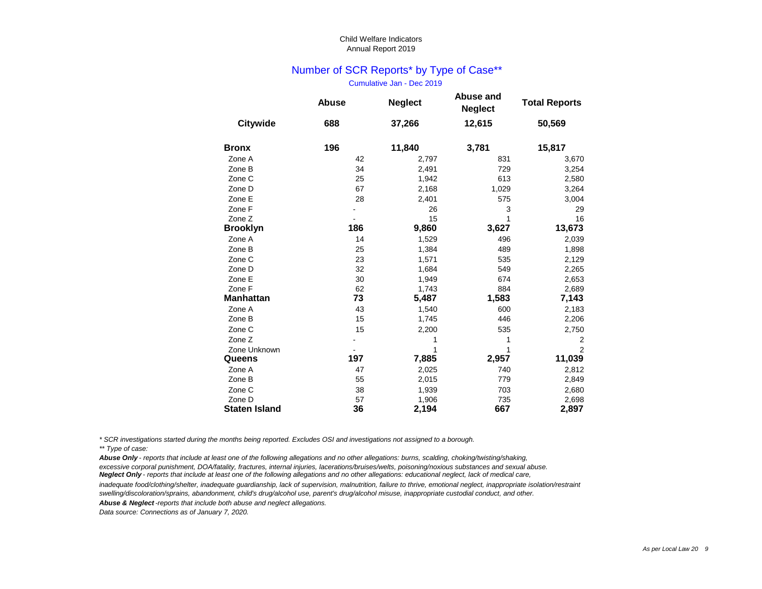## Number of SCR Reports\* by Type of Case\*\*

Cumulative Jan - Dec 2019

|                                | <b>Abuse</b> | <b>Neglect</b> | <b>Abuse and</b><br><b>Neglect</b> | <b>Total Reports</b> |
|--------------------------------|--------------|----------------|------------------------------------|----------------------|
| <b>Citywide</b>                | 688          | 37,266         | 12,615                             | 50,569               |
| <b>Bronx</b>                   | 196          | 11,840         | 3,781                              | 15,817               |
| Zone A                         | 42           | 2,797          | 831                                | 3,670                |
| Zone B                         | 34           | 2,491          | 729                                | 3,254                |
| Zone C                         | 25           | 1,942          | 613                                | 2,580                |
| Zone D                         | 67           | 2,168          | 1,029                              | 3,264                |
| Zone E                         | 28           | 2,401          | 575                                | 3,004                |
| Zone F                         |              | 26             | 3                                  | 29                   |
| Zone Z                         |              | 15             | 1                                  | 16                   |
| <b>Brooklyn</b>                | 186          | 9,860          | 3,627                              | 13,673               |
| Zone A                         | 14           | 1,529          | 496                                | 2,039                |
| Zone B                         | 25           | 1,384          | 489                                | 1,898                |
| Zone C                         | 23           | 1,571          | 535                                | 2,129                |
| Zone D                         | 32           | 1,684          | 549                                | 2,265                |
| Zone E                         | 30           | 1,949          | 674                                | 2,653                |
| Zone F                         | 62           | 1,743          | 884                                | 2,689                |
| <b>Manhattan</b>               | 73           | 5,487          | 1,583                              | 7,143                |
| Zone A                         | 43           | 1,540          | 600                                | 2,183                |
| Zone B                         | 15           | 1,745          | 446                                | 2,206                |
| Zone C                         | 15           | 2,200          | 535                                | 2,750                |
| Zone Z                         |              |                | 1                                  | $\overline{2}$       |
| Zone Unknown                   |              |                | 1                                  | $\overline{2}$       |
| Queens                         | 197          | 7,885          | 2,957                              | 11,039               |
| Zone A                         | 47           | 2,025          | 740                                | 2,812                |
| Zone B                         | 55           | 2,015          | 779                                | 2,849                |
| Zone C                         | 38           | 1,939          | 703                                | 2,680                |
| Zone D<br><b>Staten Island</b> | 57<br>36     | 1,906<br>2,194 | 735<br>667                         | 2,698<br>2,897       |

*\* SCR investigations started during the months being reported. Excludes OSI and investigations not assigned to a borough.*

*Abuse Only - reports that include at least one of the following allegations and no other allegations: burns, scalding, choking/twisting/shaking, excessive corporal punishment, DOA/fatality, fractures, internal injuries, lacerations/bruises/welts, poisoning/noxious substances and sexual abuse. Neglect Only - reports that include at least one of the following allegations and no other allegations: educational neglect, lack of medical care,* 

*inadequate food/clothing/shelter, inadequate guardianship, lack of supervision, malnutrition, failure to thrive, emotional neglect, inappropriate isolation/restraint swelling/discoloration/sprains, abandonment, child's drug/alcohol use, parent's drug/alcohol misuse, inappropriate custodial conduct, and other.*

*Abuse & Neglect -reports that include both abuse and neglect allegations.*

*<sup>\*\*</sup> Type of case:*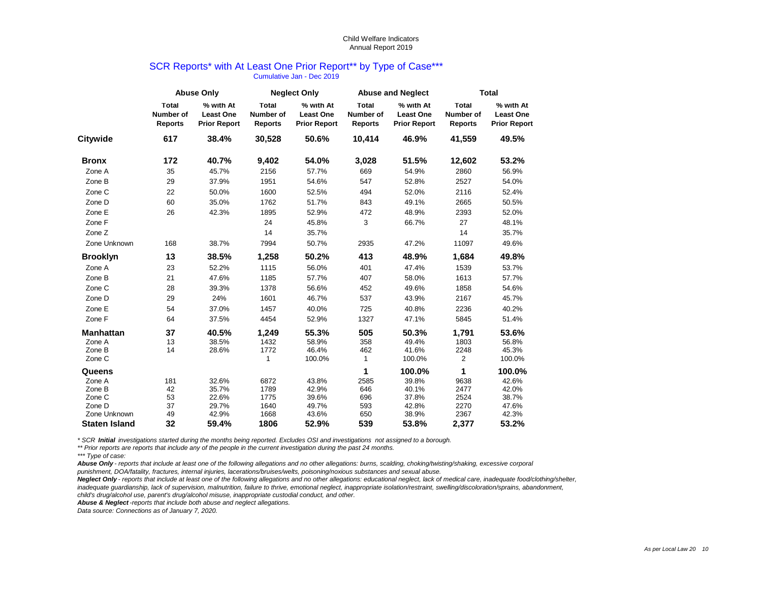#### SCR Reports\* with At Least One Prior Report\*\* by Type of Case\*\*\* Cumulative Jan - Dec 2019

|                      |                                                    | <b>Abuse Only</b>                                    |                                                    | <b>Neglect Only</b>                                  |                                                    | <b>Abuse and Neglect</b><br><b>Total</b>             |                                                                                                                                                                                                                                         |                                                      |  |
|----------------------|----------------------------------------------------|------------------------------------------------------|----------------------------------------------------|------------------------------------------------------|----------------------------------------------------|------------------------------------------------------|-----------------------------------------------------------------------------------------------------------------------------------------------------------------------------------------------------------------------------------------|------------------------------------------------------|--|
|                      | <b>Total</b><br><b>Number of</b><br><b>Reports</b> | % with At<br><b>Least One</b><br><b>Prior Report</b> | <b>Total</b><br><b>Number of</b><br><b>Reports</b> | % with At<br><b>Least One</b><br><b>Prior Report</b> | <b>Total</b><br><b>Number of</b><br><b>Reports</b> | % with At<br><b>Least One</b><br><b>Prior Report</b> | <b>Total</b><br><b>Number of</b><br><b>Reports</b>                                                                                                                                                                                      | % with At<br><b>Least One</b><br><b>Prior Report</b> |  |
| <b>Citywide</b>      | 617                                                | 38.4%                                                | 30,528                                             | 50.6%                                                | 10,414                                             | 46.9%                                                | 41,559<br>12,602<br>2860<br>2527<br>2116<br>2665<br>2393<br>27<br>14<br>11097<br>1,684<br>1539<br>1613<br>1858<br>2167<br>2236<br>5845<br>1,791<br>1803<br>2248<br>$\overline{2}$<br>1<br>9638<br>2477<br>2524<br>2270<br>2367<br>2,377 | 49.5%                                                |  |
| <b>Bronx</b>         | 172                                                | 40.7%                                                | 9,402                                              | 54.0%                                                | 3,028                                              | 51.5%                                                |                                                                                                                                                                                                                                         | 53.2%                                                |  |
| Zone A               | 35                                                 | 45.7%                                                | 2156                                               | 57.7%                                                | 669                                                | 54.9%                                                |                                                                                                                                                                                                                                         | 56.9%                                                |  |
| Zone B               | 29                                                 | 37.9%                                                | 1951                                               | 54.6%                                                | 547                                                | 52.8%                                                |                                                                                                                                                                                                                                         | 54.0%                                                |  |
| Zone C               | 22                                                 | 50.0%                                                | 1600                                               | 52.5%                                                | 494                                                | 52.0%                                                |                                                                                                                                                                                                                                         | 52.4%                                                |  |
| Zone D               | 60                                                 | 35.0%                                                | 1762                                               | 51.7%                                                | 843                                                | 49.1%                                                |                                                                                                                                                                                                                                         | 50.5%                                                |  |
| Zone E               | 26                                                 | 42.3%                                                | 1895                                               | 52.9%                                                | 472                                                | 48.9%                                                |                                                                                                                                                                                                                                         | 52.0%                                                |  |
| Zone F               |                                                    |                                                      | 24                                                 | 45.8%                                                | 3                                                  | 66.7%                                                |                                                                                                                                                                                                                                         | 48.1%                                                |  |
| Zone Z               |                                                    |                                                      | 14                                                 | 35.7%                                                |                                                    |                                                      |                                                                                                                                                                                                                                         | 35.7%                                                |  |
| Zone Unknown         | 168                                                | 38.7%                                                | 7994                                               | 50.7%                                                | 2935                                               | 47.2%                                                |                                                                                                                                                                                                                                         | 49.6%                                                |  |
| <b>Brooklyn</b>      | 13                                                 | 38.5%                                                | 1,258                                              | 50.2%                                                | 413                                                | 48.9%                                                |                                                                                                                                                                                                                                         | 49.8%                                                |  |
| Zone A               | 23                                                 | 52.2%                                                | 1115                                               | 56.0%                                                | 401                                                | 47.4%                                                |                                                                                                                                                                                                                                         | 53.7%                                                |  |
| Zone B               | 21                                                 | 47.6%                                                | 1185                                               | 57.7%                                                | 407                                                | 58.0%                                                |                                                                                                                                                                                                                                         | 57.7%                                                |  |
| Zone C               | 28                                                 | 39.3%                                                | 1378                                               | 56.6%                                                | 452                                                | 49.6%                                                |                                                                                                                                                                                                                                         | 54.6%                                                |  |
| Zone D               | 29                                                 | 24%                                                  | 1601                                               | 46.7%                                                | 537                                                | 43.9%                                                |                                                                                                                                                                                                                                         | 45.7%                                                |  |
| Zone E               | 54                                                 | 37.0%                                                | 1457                                               | 40.0%                                                | 725                                                | 40.8%                                                |                                                                                                                                                                                                                                         | 40.2%                                                |  |
| Zone F               | 64                                                 | 37.5%                                                | 4454                                               | 52.9%                                                | 1327                                               | 47.1%                                                |                                                                                                                                                                                                                                         | 51.4%                                                |  |
| <b>Manhattan</b>     | 37                                                 | 40.5%                                                | 1,249                                              | 55.3%                                                | 505                                                | 50.3%                                                |                                                                                                                                                                                                                                         | 53.6%                                                |  |
| Zone A               | 13                                                 | 38.5%                                                | 1432                                               | 58.9%                                                | 358                                                | 49.4%                                                |                                                                                                                                                                                                                                         | 56.8%                                                |  |
| Zone B               | 14                                                 | 28.6%                                                | 1772                                               | 46.4%                                                | 462                                                | 41.6%                                                |                                                                                                                                                                                                                                         | 45.3%                                                |  |
| Zone C               |                                                    |                                                      | 1                                                  | 100.0%                                               | $\mathbf{1}$                                       | 100.0%                                               |                                                                                                                                                                                                                                         | 100.0%                                               |  |
| Queens               |                                                    |                                                      |                                                    |                                                      | 1                                                  | 100.0%                                               |                                                                                                                                                                                                                                         | 100.0%                                               |  |
| Zone A               | 181                                                | 32.6%                                                | 6872                                               | 43.8%                                                | 2585                                               | 39.8%                                                |                                                                                                                                                                                                                                         | 42.6%                                                |  |
| Zone B               | 42                                                 | 35.7%                                                | 1789                                               | 42.9%                                                | 646                                                | 40.1%                                                |                                                                                                                                                                                                                                         | 42.0%                                                |  |
| Zone C               | 53                                                 | 22.6%                                                | 1775                                               | 39.6%                                                | 696                                                | 37.8%                                                |                                                                                                                                                                                                                                         | 38.7%                                                |  |
| Zone D               | 37                                                 | 29.7%                                                | 1640                                               | 49.7%                                                | 593                                                | 42.8%                                                |                                                                                                                                                                                                                                         | 47.6%                                                |  |
| Zone Unknown         | 49                                                 | 42.9%                                                | 1668                                               | 43.6%                                                | 650                                                | 38.9%                                                |                                                                                                                                                                                                                                         | 42.3%                                                |  |
| <b>Staten Island</b> | 32                                                 | 59.4%                                                | 1806                                               | 52.9%                                                | 539                                                | 53.8%                                                |                                                                                                                                                                                                                                         | 53.2%                                                |  |

*\* SCR Initial investigations started during the months being reported. Excludes OSI and investigations not assigned to a borough.*

*\*\* Prior reports are reports that include any of the people in the current investigation during the past 24 months.* 

*\*\*\* Type of case:*

*Abuse Only - reports that include at least one of the following allegations and no other allegations: burns, scalding, choking/twisting/shaking, excessive corporal* 

*punishment, DOA/fatality, fractures, internal injuries, lacerations/bruises/welts, poisoning/noxious substances and sexual abuse.*

*Neglect Only - reports that include at least one of the following allegations and no other allegations: educational neglect, lack of medical care, inadequate food/clothing/shelter, inadequate guardianship, lack of supervision, malnutrition, failure to thrive, emotional neglect, inappropriate isolation/restraint, swelling/discoloration/sprains, abandonment, child's drug/alcohol use, parent's drug/alcohol misuse, inappropriate custodial conduct, and other.*

*Abuse & Neglect -reports that include both abuse and neglect allegations.*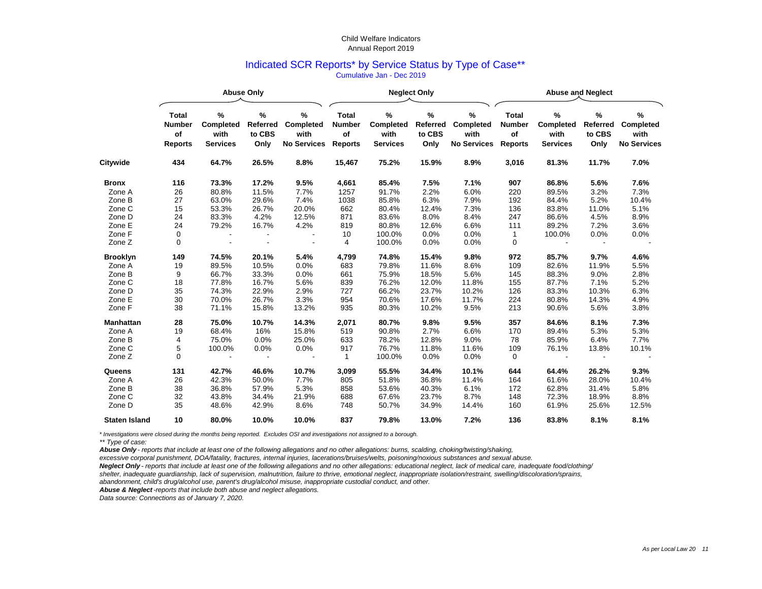## Indicated SCR Reports\* by Service Status by Type of Case\*\* Cumulative Jan - Dec 2019

|                      |                                                       |                                                     | <b>Abuse Only</b>                      |                                                        |                                                       | <b>Neglect Only</b>                              |                                           |                                                        | <b>Abuse and Neglect</b>                              |                                                     |                                           |                                                        |  |
|----------------------|-------------------------------------------------------|-----------------------------------------------------|----------------------------------------|--------------------------------------------------------|-------------------------------------------------------|--------------------------------------------------|-------------------------------------------|--------------------------------------------------------|-------------------------------------------------------|-----------------------------------------------------|-------------------------------------------|--------------------------------------------------------|--|
|                      | <b>Total</b><br><b>Number</b><br>of<br><b>Reports</b> | $\%$<br><b>Completed</b><br>with<br><b>Services</b> | %<br><b>Referred</b><br>to CBS<br>Only | $\%$<br><b>Completed</b><br>with<br><b>No Services</b> | <b>Total</b><br><b>Number</b><br>of<br><b>Reports</b> | %<br><b>Completed</b><br>with<br><b>Services</b> | $\%$<br><b>Referred</b><br>to CBS<br>Only | $\%$<br><b>Completed</b><br>with<br><b>No Services</b> | <b>Total</b><br><b>Number</b><br>of<br><b>Reports</b> | $\%$<br><b>Completed</b><br>with<br><b>Services</b> | $\%$<br><b>Referred</b><br>to CBS<br>Only | $\%$<br><b>Completed</b><br>with<br><b>No Services</b> |  |
| Citywide             | 434                                                   | 64.7%                                               | 26.5%                                  | 8.8%                                                   | 15,467                                                | 75.2%                                            | 15.9%                                     | 8.9%                                                   | 3,016                                                 | 81.3%                                               | 11.7%                                     | 7.0%                                                   |  |
| <b>Bronx</b>         | 116                                                   | 73.3%                                               | 17.2%                                  | 9.5%                                                   | 4,661                                                 | 85.4%                                            | 7.5%                                      | 7.1%                                                   | 907                                                   | 86.8%                                               | 5.6%                                      | 7.6%                                                   |  |
| Zone A               | 26                                                    | 80.8%                                               | 11.5%                                  | 7.7%                                                   | 1257                                                  | 91.7%                                            | 2.2%                                      | 6.0%                                                   | 220                                                   | 89.5%                                               | 3.2%                                      | 7.3%                                                   |  |
| Zone B               | 27                                                    | 63.0%                                               | 29.6%                                  | 7.4%                                                   | 1038                                                  | 85.8%                                            | 6.3%                                      | 7.9%                                                   | 192                                                   | 84.4%                                               | 5.2%                                      | 10.4%                                                  |  |
| Zone C               | 15                                                    | 53.3%                                               | 26.7%                                  | 20.0%                                                  | 662                                                   | 80.4%                                            | 12.4%                                     | 7.3%                                                   | 136                                                   | 83.8%                                               | 11.0%                                     | 5.1%                                                   |  |
| Zone D               | 24                                                    | 83.3%                                               | 4.2%                                   | 12.5%                                                  | 871                                                   | 83.6%                                            | 8.0%                                      | 8.4%                                                   | 247                                                   | 86.6%                                               | 4.5%                                      | 8.9%                                                   |  |
| Zone E               | 24                                                    | 79.2%                                               | 16.7%                                  | 4.2%                                                   | 819                                                   | 80.8%                                            | 12.6%                                     | 6.6%                                                   | 111                                                   | 89.2%                                               | 7.2%                                      | 3.6%                                                   |  |
| Zone F               | $\pmb{0}$                                             |                                                     |                                        |                                                        | 10                                                    | 100.0%                                           | 0.0%                                      | 0.0%                                                   | $\mathbf{1}$                                          | 100.0%                                              | 0.0%                                      | 0.0%                                                   |  |
| Zone Z               | 0                                                     |                                                     |                                        |                                                        | 4                                                     | 100.0%                                           | 0.0%                                      | 0.0%                                                   | $\mathbf 0$                                           |                                                     |                                           |                                                        |  |
| <b>Brooklyn</b>      | 149                                                   | 74.5%                                               | 20.1%                                  | 5.4%                                                   | 4,799                                                 | 74.8%                                            | 15.4%                                     | 9.8%                                                   | 972                                                   | 85.7%                                               | 9.7%                                      | 4.6%                                                   |  |
| Zone A               | 19                                                    | 89.5%                                               | 10.5%                                  | 0.0%                                                   | 683                                                   | 79.8%                                            | 11.6%                                     | 8.6%                                                   | 109                                                   | 82.6%                                               | 11.9%                                     | 5.5%                                                   |  |
| Zone B               | 9                                                     | 66.7%                                               | 33.3%                                  | 0.0%                                                   | 661                                                   | 75.9%                                            | 18.5%                                     | 5.6%                                                   | 145                                                   | 88.3%                                               | 9.0%                                      | 2.8%                                                   |  |
| Zone C               | 18                                                    | 77.8%                                               | 16.7%                                  | 5.6%                                                   | 839                                                   | 76.2%                                            | 12.0%                                     | 11.8%                                                  | 155                                                   | 87.7%                                               | 7.1%                                      | 5.2%                                                   |  |
| Zone D               | 35                                                    | 74.3%                                               | 22.9%                                  | 2.9%                                                   | 727                                                   | 66.2%                                            | 23.7%                                     | 10.2%                                                  | 126                                                   | 83.3%                                               | 10.3%                                     | 6.3%                                                   |  |
| Zone E               | 30                                                    | 70.0%                                               | 26.7%                                  | 3.3%                                                   | 954                                                   | 70.6%                                            | 17.6%                                     | 11.7%                                                  | 224                                                   | 80.8%                                               | 14.3%                                     | 4.9%                                                   |  |
| Zone F               | 38                                                    | 71.1%                                               | 15.8%                                  | 13.2%                                                  | 935                                                   | 80.3%                                            | 10.2%                                     | 9.5%                                                   | 213                                                   | 90.6%                                               | 5.6%                                      | 3.8%                                                   |  |
| <b>Manhattan</b>     | 28                                                    | 75.0%                                               | 10.7%                                  | 14.3%                                                  | 2,071                                                 | 80.7%                                            | 9.8%                                      | 9.5%                                                   | 357                                                   | 84.6%                                               | 8.1%                                      | 7.3%                                                   |  |
| Zone A               | 19                                                    | 68.4%                                               | 16%                                    | 15.8%                                                  | 519                                                   | 90.8%                                            | 2.7%                                      | 6.6%                                                   | 170                                                   | 89.4%                                               | 5.3%                                      | 5.3%                                                   |  |
| Zone B               | 4                                                     | 75.0%                                               | 0.0%                                   | 25.0%                                                  | 633                                                   | 78.2%                                            | 12.8%                                     | 9.0%                                                   | 78                                                    | 85.9%                                               | 6.4%                                      | 7.7%                                                   |  |
| Zone C               | 5                                                     | 100.0%                                              | 0.0%                                   | 0.0%                                                   | 917                                                   | 76.7%                                            | 11.8%                                     | 11.6%                                                  | 109                                                   | 76.1%                                               | 13.8%                                     | 10.1%                                                  |  |
| Zone Z               | 0                                                     |                                                     |                                        |                                                        | 1                                                     | 100.0%                                           | 0.0%                                      | 0.0%                                                   | 0                                                     |                                                     |                                           |                                                        |  |
| Queens               | 131                                                   | 42.7%                                               | 46.6%                                  | 10.7%                                                  | 3,099                                                 | 55.5%                                            | 34.4%                                     | 10.1%                                                  | 644                                                   | 64.4%                                               | 26.2%                                     | 9.3%                                                   |  |
| Zone A               | 26                                                    | 42.3%                                               | 50.0%                                  | 7.7%                                                   | 805                                                   | 51.8%                                            | 36.8%                                     | 11.4%                                                  | 164                                                   | 61.6%                                               | 28.0%                                     | 10.4%                                                  |  |
| Zone B               | 38                                                    | 36.8%                                               | 57.9%                                  | 5.3%                                                   | 858                                                   | 53.6%                                            | 40.3%                                     | 6.1%                                                   | 172                                                   | 62.8%                                               | 31.4%                                     | 5.8%                                                   |  |
| Zone C               | 32                                                    | 43.8%                                               | 34.4%                                  | 21.9%                                                  | 688                                                   | 67.6%                                            | 23.7%                                     | 8.7%                                                   | 148                                                   | 72.3%                                               | 18.9%                                     | 8.8%                                                   |  |
| Zone D               | 35                                                    | 48.6%                                               | 42.9%                                  | 8.6%                                                   | 748                                                   | 50.7%                                            | 34.9%                                     | 14.4%                                                  | 160                                                   | 61.9%                                               | 25.6%                                     | 12.5%                                                  |  |
| <b>Staten Island</b> | 10                                                    | 80.0%                                               | 10.0%                                  | 10.0%                                                  | 837                                                   | 79.8%                                            | 13.0%                                     | 7.2%                                                   | 136                                                   | 83.8%                                               | 8.1%                                      | 8.1%                                                   |  |

*\* Investigations were closed during the months being reported. Excludes OSI and investigations not assigned to a borough.*

*\*\* Type of case:*

*Abuse Only - reports that include at least one of the following allegations and no other allegations: burns, scalding, choking/twisting/shaking,* 

*excessive corporal punishment, DOA/fatality, fractures, internal injuries, lacerations/bruises/welts, poisoning/noxious substances and sexual abuse.*

*Neglect Only - reports that include at least one of the following allegations and no other allegations: educational neglect, lack of medical care, inadequate food/clothing/*

*shelter, inadequate guardianship, lack of supervision, malnutrition, failure to thrive, emotional neglect, inappropriate isolation/restraint, swelling/discoloration/sprains,*

*abandonment, child's drug/alcohol use, parent's drug/alcohol misuse, inappropriate custodial conduct, and other.*

*Abuse & Neglect-reports that include both abuse and neglect allegations.*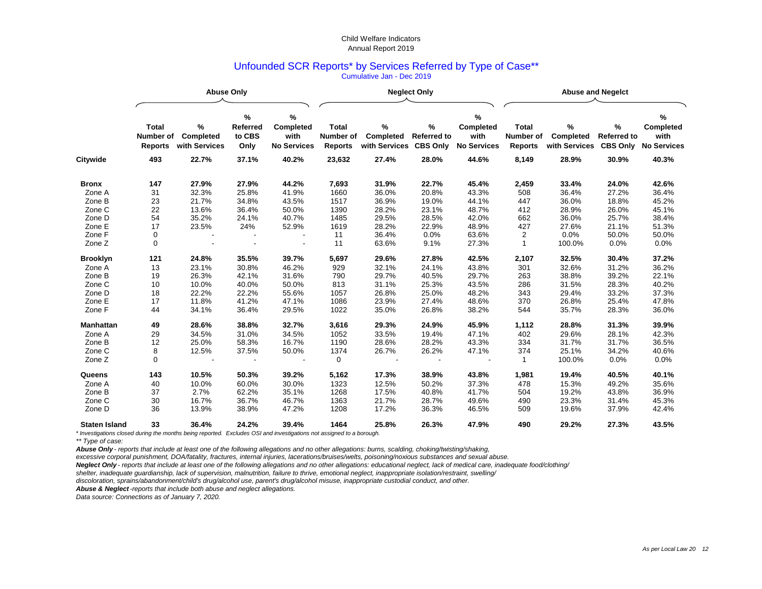## Unfounded SCR Reports\* by Services Referred by Type of Case\*\* Cumulative Jan - Dec 2019

|                      |                                             | <b>Abuse Only</b>                      |                                           |                                                     |                                             |                                           | <b>Neglect Only</b>                           |                                                        | <b>Abuse and Negelct</b>                           |                                           |                                            |                                                     |  |
|----------------------|---------------------------------------------|----------------------------------------|-------------------------------------------|-----------------------------------------------------|---------------------------------------------|-------------------------------------------|-----------------------------------------------|--------------------------------------------------------|----------------------------------------------------|-------------------------------------------|--------------------------------------------|-----------------------------------------------------|--|
|                      | <b>Total</b><br>Number of<br><b>Reports</b> | ℅<br><b>Completed</b><br>with Services | $\%$<br><b>Referred</b><br>to CBS<br>Only | %<br><b>Completed</b><br>with<br><b>No Services</b> | <b>Total</b><br>Number of<br><b>Reports</b> | $\%$<br><b>Completed</b><br>with Services | $\%$<br><b>Referred to</b><br><b>CBS Only</b> | $\%$<br><b>Completed</b><br>with<br><b>No Services</b> | <b>Total</b><br><b>Number of</b><br><b>Reports</b> | $\%$<br><b>Completed</b><br>with Services | ℅<br><b>Referred to</b><br><b>CBS Only</b> | %<br><b>Completed</b><br>with<br><b>No Services</b> |  |
| <b>Citywide</b>      | 493                                         | 22.7%                                  | 37.1%                                     | 40.2%                                               | 23,632                                      | 27.4%                                     | 28.0%                                         | 44.6%                                                  | 8,149                                              | 28.9%                                     | 30.9%                                      | 40.3%                                               |  |
| <b>Bronx</b>         | 147                                         | 27.9%                                  | 27.9%                                     | 44.2%                                               | 7,693                                       | 31.9%                                     | 22.7%                                         | 45.4%                                                  | 2,459                                              | 33.4%                                     | 24.0%                                      | 42.6%                                               |  |
| Zone A               | 31                                          | 32.3%                                  | 25.8%                                     | 41.9%                                               | 1660                                        | 36.0%                                     | 20.8%                                         | 43.3%                                                  | 508                                                | 36.4%                                     | 27.2%                                      | 36.4%                                               |  |
| Zone B               | 23                                          | 21.7%                                  | 34.8%                                     | 43.5%                                               | 1517                                        | 36.9%                                     | 19.0%                                         | 44.1%                                                  | 447                                                | 36.0%                                     | 18.8%                                      | 45.2%                                               |  |
| Zone C               | 22                                          | 13.6%                                  | 36.4%                                     | 50.0%                                               | 1390                                        | 28.2%                                     | 23.1%                                         | 48.7%                                                  | 412                                                | 28.9%                                     | 26.0%                                      | 45.1%                                               |  |
| Zone D               | 54                                          | 35.2%                                  | 24.1%                                     | 40.7%                                               | 1485                                        | 29.5%                                     | 28.5%                                         | 42.0%                                                  | 662                                                | 36.0%                                     | 25.7%                                      | 38.4%                                               |  |
| Zone E               | 17                                          | 23.5%                                  | 24%                                       | 52.9%                                               | 1619                                        | 28.2%                                     | 22.9%                                         | 48.9%                                                  | 427                                                | 27.6%                                     | 21.1%                                      | 51.3%                                               |  |
| Zone F               | $\pmb{0}$                                   |                                        |                                           |                                                     | 11                                          | 36.4%                                     | 0.0%                                          | 63.6%                                                  | $\mathbf{2}$                                       | 0.0%                                      | 50.0%                                      | 50.0%                                               |  |
| Zone Z               | $\mathbf 0$                                 |                                        |                                           |                                                     | 11                                          | 63.6%                                     | 9.1%                                          | 27.3%                                                  | $\mathbf{1}$                                       | 100.0%                                    | 0.0%                                       | 0.0%                                                |  |
| <b>Brooklyn</b>      | 121                                         | 24.8%                                  | 35.5%                                     | 39.7%                                               | 5,697                                       | 29.6%                                     | 27.8%                                         | 42.5%                                                  | 2,107                                              | 32.5%                                     | 30.4%                                      | 37.2%                                               |  |
| Zone A               | 13                                          | 23.1%                                  | 30.8%                                     | 46.2%                                               | 929                                         | 32.1%                                     | 24.1%                                         | 43.8%                                                  | 301                                                | 32.6%                                     | 31.2%                                      | 36.2%                                               |  |
| Zone B               | 19                                          | 26.3%                                  | 42.1%                                     | 31.6%                                               | 790                                         | 29.7%                                     | 40.5%                                         | 29.7%                                                  | 263                                                | 38.8%                                     | 39.2%                                      | 22.1%                                               |  |
| Zone C               | 10                                          | 10.0%                                  | 40.0%                                     | 50.0%                                               | 813                                         | 31.1%                                     | 25.3%                                         | 43.5%                                                  | 286                                                | 31.5%                                     | 28.3%                                      | 40.2%                                               |  |
| Zone D               | 18                                          | 22.2%                                  | 22.2%                                     | 55.6%                                               | 1057                                        | 26.8%                                     | 25.0%                                         | 48.2%                                                  | 343                                                | 29.4%                                     | 33.2%                                      | 37.3%                                               |  |
| Zone E               | 17                                          | 11.8%                                  | 41.2%                                     | 47.1%                                               | 1086                                        | 23.9%                                     | 27.4%                                         | 48.6%                                                  | 370                                                | 26.8%                                     | 25.4%                                      | 47.8%                                               |  |
| Zone F               | 44                                          | 34.1%                                  | 36.4%                                     | 29.5%                                               | 1022                                        | 35.0%                                     | 26.8%                                         | 38.2%                                                  | 544                                                | 35.7%                                     | 28.3%                                      | 36.0%                                               |  |
| <b>Manhattan</b>     | 49                                          | 28.6%                                  | 38.8%                                     | 32.7%                                               | 3,616                                       | 29.3%                                     | 24.9%                                         | 45.9%                                                  | 1,112                                              | 28.8%                                     | 31.3%                                      | 39.9%                                               |  |
| Zone A               | 29                                          | 34.5%                                  | 31.0%                                     | 34.5%                                               | 1052                                        | 33.5%                                     | 19.4%                                         | 47.1%                                                  | 402                                                | 29.6%                                     | 28.1%                                      | 42.3%                                               |  |
| Zone B               | 12                                          | 25.0%                                  | 58.3%                                     | 16.7%                                               | 1190                                        | 28.6%                                     | 28.2%                                         | 43.3%                                                  | 334                                                | 31.7%                                     | 31.7%                                      | 36.5%                                               |  |
| Zone C               | 8                                           | 12.5%                                  | 37.5%                                     | 50.0%                                               | 1374                                        | 26.7%                                     | 26.2%                                         | 47.1%                                                  | 374                                                | 25.1%                                     | 34.2%                                      | 40.6%                                               |  |
| Zone Z               | $\mathbf 0$                                 |                                        |                                           |                                                     | 0                                           |                                           |                                               |                                                        | $\mathbf{1}$                                       | 100.0%                                    | 0.0%                                       | 0.0%                                                |  |
| Queens               | 143                                         | 10.5%                                  | 50.3%                                     | 39.2%                                               | 5,162                                       | 17.3%                                     | 38.9%                                         | 43.8%                                                  | 1,981                                              | 19.4%                                     | 40.5%                                      | 40.1%                                               |  |
| Zone A               | 40                                          | 10.0%                                  | 60.0%                                     | 30.0%                                               | 1323                                        | 12.5%                                     | 50.2%                                         | 37.3%                                                  | 478                                                | 15.3%                                     | 49.2%                                      | 35.6%                                               |  |
| Zone B               | 37                                          | 2.7%                                   | 62.2%                                     | 35.1%                                               | 1268                                        | 17.5%                                     | 40.8%                                         | 41.7%                                                  | 504                                                | 19.2%                                     | 43.8%                                      | 36.9%                                               |  |
| Zone C               | 30                                          | 16.7%                                  | 36.7%                                     | 46.7%                                               | 1363                                        | 21.7%                                     | 28.7%                                         | 49.6%                                                  | 490                                                | 23.3%                                     | 31.4%                                      | 45.3%                                               |  |
| Zone D               | 36                                          | 13.9%                                  | 38.9%                                     | 47.2%                                               | 1208                                        | 17.2%                                     | 36.3%                                         | 46.5%                                                  | 509                                                | 19.6%                                     | 37.9%                                      | 42.4%                                               |  |
| <b>Staten Island</b> | 33                                          | 36.4%                                  | 24.2%                                     | 39.4%                                               | 1464                                        | 25.8%                                     | 26.3%                                         | 47.9%                                                  | 490                                                | 29.2%                                     | 27.3%                                      | 43.5%                                               |  |

*\* Investigations closed during the months being reported. Excludes OSI and investigations not assigned to a borough.*

*\*\* Type of case:*

*Abuse Only - reports that include at least one of the following allegations and no other allegations: burns, scalding, choking/twisting/shaking,* 

*excessive corporal punishment, DOA/fatality, fractures, internal injuries, lacerations/bruises/welts, poisoning/noxious substances and sexual abuse.*

*Neglect Only - reports that include at least one of the following allegations and no other allegations: educational neglect, lack of medical care, inadequate food/clothing/*

*shelter, inadequate guardianship, lack of supervision, malnutrition, failure to thrive, emotional neglect, inappropriate isolation/restraint, swelling/*

*discoloration, sprains/abandonment/child's drug/alcohol use, parent's drug/alcohol misuse, inappropriate custodial conduct, and other.*

*Abuse & Neglect -reports that include both abuse and neglect allegations.*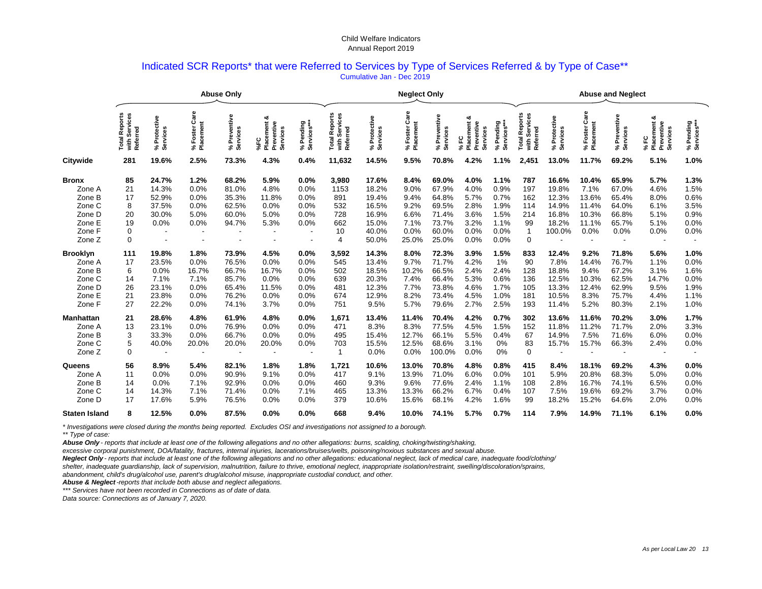### Indicated SCR Reports\* that were Referred to Services by Type of Services Referred & by Type of Case\*\* Cumulative Jan - Dec 2019

|                                                                                    |                                                 |                                                              |                                                                          | <b>Abuse Only</b>                                           |                                                        | <b>Neglect Only</b>                                  |                                                      |                                                                      |                                                               |                                                                      |                                                                | <b>Abuse and Neglect</b>                                     |                                                           |                                                              |                                                           |                                                             |                                                             |                                                      |
|------------------------------------------------------------------------------------|-------------------------------------------------|--------------------------------------------------------------|--------------------------------------------------------------------------|-------------------------------------------------------------|--------------------------------------------------------|------------------------------------------------------|------------------------------------------------------|----------------------------------------------------------------------|---------------------------------------------------------------|----------------------------------------------------------------------|----------------------------------------------------------------|--------------------------------------------------------------|-----------------------------------------------------------|--------------------------------------------------------------|-----------------------------------------------------------|-------------------------------------------------------------|-------------------------------------------------------------|------------------------------------------------------|
|                                                                                    | Services<br>Reports<br>Total<br>with 3<br>Refer | Protective<br>Services<br>న్                                 | Care<br>% Foster Ca<br>Placement                                         | Preventive<br>Services<br>న్                                | య<br>Preventive<br>ment<br>Services<br>Place<br>ပ      | % Pending<br>Services***                             | I Reports<br>Services<br>Referred<br>Total<br>with   | Protective<br>% Protec<br>Services                                   | Foster Care<br>Placement<br>℅                                 | Preventive<br>Services<br>℅                                          | ఱ<br>Preventive<br>Placement<br>Services<br>FC<br>$\mathbf{x}$ | % Pending<br>Services***                                     | Reports<br>Services<br>rred<br>Total<br>Refer<br>with     | Protective<br>rvices<br>్హ శ్రీ                              | Foster Care<br>Placement<br>వ్                            | Preventive<br>% Preven<br>Services                          | ಟ<br>acement<br>Φ<br>Preventiv<br>Services<br>ပူ<br>న్<br>ᇍ | % Pending<br>Services***                             |
| <b>Citywide</b>                                                                    | 281                                             | 19.6%                                                        | 2.5%                                                                     | 73.3%                                                       | 4.3%                                                   | 0.4%                                                 | 11,632                                               | 14.5%                                                                | 9.5%                                                          | 70.8%                                                                | 4.2%                                                           | 1.1%                                                         | 2,451                                                     | 13.0%                                                        | 11.7%                                                     | 69.2%                                                       | 5.1%                                                        | 1.0%                                                 |
| <b>Bronx</b><br>Zone A<br>Zone B<br>Zone C<br>Zone D<br>Zone E<br>Zone F<br>Zone Z | 85<br>21<br>17<br>8<br>20<br>19<br>0<br>0       | 24.7%<br>14.3%<br>52.9%<br>37.5%<br>30.0%<br>0.0%            | 1.2%<br>0.0%<br>0.0%<br>0.0%<br>5.0%<br>0.0%<br>$\overline{\phantom{a}}$ | 68.2%<br>81.0%<br>35.3%<br>62.5%<br>60.0%<br>94.7%          | 5.9%<br>4.8%<br>11.8%<br>0.0%<br>5.0%<br>5.3%          | 0.0%<br>0.0%<br>0.0%<br>0.0%<br>0.0%<br>0.0%         | 3,980<br>1153<br>891<br>532<br>728<br>662<br>10<br>4 | 17.6%<br>18.2%<br>19.4%<br>16.5%<br>16.9%<br>15.0%<br>40.0%<br>50.0% | 8.4%<br>9.0%<br>9.4%<br>9.2%<br>6.6%<br>7.1%<br>0.0%<br>25.0% | 69.0%<br>67.9%<br>64.8%<br>69.5%<br>71.4%<br>73.7%<br>60.0%<br>25.0% | 4.0%<br>4.0%<br>5.7%<br>2.8%<br>3.6%<br>3.2%<br>0.0%<br>0.0%   | 1.1%<br>0.9%<br>0.7%<br>1.9%<br>1.5%<br>1.1%<br>0.0%<br>0.0% | 787<br>197<br>162<br>114<br>214<br>99<br>$\mathbf 1$<br>0 | 16.6%<br>19.8%<br>12.3%<br>14.9%<br>16.8%<br>18.2%<br>100.0% | 10.4%<br>7.1%<br>13.6%<br>11.4%<br>10.3%<br>11.1%<br>0.0% | 65.9%<br>67.0%<br>65.4%<br>64.0%<br>66.8%<br>65.7%<br>0.0%  | 5.7%<br>4.6%<br>8.0%<br>6.1%<br>5.1%<br>5.1%<br>0.0%        | 1.3%<br>1.5%<br>0.6%<br>3.5%<br>0.9%<br>0.0%<br>0.0% |
| <b>Brooklyn</b><br>Zone A<br>Zone B<br>Zone C<br>Zone D<br>Zone E<br>Zone F        | 111<br>17<br>6<br>14<br>26<br>21<br>27          | 19.8%<br>23.5%<br>0.0%<br>7.1%<br>23.1%<br>23.8%<br>22.2%    | 1.8%<br>0.0%<br>16.7%<br>7.1%<br>0.0%<br>0.0%<br>0.0%                    | 73.9%<br>76.5%<br>66.7%<br>85.7%<br>65.4%<br>76.2%<br>74.1% | 4.5%<br>0.0%<br>16.7%<br>0.0%<br>11.5%<br>0.0%<br>3.7% | 0.0%<br>0.0%<br>0.0%<br>0.0%<br>0.0%<br>0.0%<br>0.0% | 3,592<br>545<br>502<br>639<br>481<br>674<br>751      | 14.3%<br>13.4%<br>18.5%<br>20.3%<br>12.3%<br>12.9%<br>9.5%           | 8.0%<br>9.7%<br>10.2%<br>7.4%<br>7.7%<br>8.2%<br>5.7%         | 72.3%<br>71.7%<br>66.5%<br>66.4%<br>73.8%<br>73.4%<br>79.6%          | 3.9%<br>4.2%<br>2.4%<br>5.3%<br>4.6%<br>4.5%<br>2.7%           | 1.5%<br>1%<br>2.4%<br>0.6%<br>1.7%<br>1.0%<br>2.5%           | 833<br>90<br>128<br>136<br>105<br>181<br>193              | 12.4%<br>7.8%<br>18.8%<br>12.5%<br>13.3%<br>10.5%<br>11.4%   | 9.2%<br>14.4%<br>9.4%<br>10.3%<br>12.4%<br>8.3%<br>5.2%   | 71.8%<br>76.7%<br>67.2%<br>62.5%<br>62.9%<br>75.7%<br>80.3% | 5.6%<br>1.1%<br>3.1%<br>14.7%<br>9.5%<br>4.4%<br>2.1%       | 1.0%<br>0.0%<br>1.6%<br>0.0%<br>1.9%<br>1.1%<br>1.0% |
| <b>Manhattan</b><br>Zone A<br>Zone B<br>Zone C<br>Zone Z                           | 21<br>13<br>3<br>5<br>0                         | 28.6%<br>23.1%<br>33.3%<br>40.0%<br>$\overline{\phantom{a}}$ | 4.8%<br>0.0%<br>0.0%<br>20.0%                                            | 61.9%<br>76.9%<br>66.7%<br>20.0%                            | 4.8%<br>0.0%<br>0.0%<br>20.0%                          | 0.0%<br>0.0%<br>0.0%<br>0.0%                         | 1,671<br>471<br>495<br>703<br>-1                     | 13.4%<br>8.3%<br>15.4%<br>15.5%<br>0.0%                              | 11.4%<br>8.3%<br>12.7%<br>12.5%<br>0.0%                       | 70.4%<br>77.5%<br>66.1%<br>68.6%<br>100.0%                           | 4.2%<br>4.5%<br>5.5%<br>3.1%<br>0.0%                           | 0.7%<br>1.5%<br>0.4%<br>0%<br>0%                             | 302<br>152<br>67<br>83<br>$\mathbf 0$                     | 13.6%<br>11.8%<br>14.9%<br>15.7%                             | 11.6%<br>11.2%<br>7.5%<br>15.7%                           | 70.2%<br>71.7%<br>71.6%<br>66.3%                            | 3.0%<br>2.0%<br>6.0%<br>2.4%                                | 1.7%<br>3.3%<br>0.0%<br>0.0%                         |
| <b>Queens</b><br>Zone A<br>Zone B<br>Zone C<br>Zone D<br><b>Staten Island</b>      | 56<br>11<br>14<br>14<br>17<br>8                 | 8.9%<br>0.0%<br>0.0%<br>14.3%<br>17.6%<br>12.5%              | 5.4%<br>0.0%<br>7.1%<br>7.1%<br>5.9%<br>0.0%                             | 82.1%<br>90.9%<br>92.9%<br>71.4%<br>76.5%<br>87.5%          | 1.8%<br>9.1%<br>0.0%<br>0.0%<br>0.0%<br>0.0%           | 1.8%<br>0.0%<br>0.0%<br>7.1%<br>0.0%<br>0.0%         | 1,721<br>417<br>460<br>465<br>379<br>668             | 10.6%<br>9.1%<br>9.3%<br>13.3%<br>10.6%<br>9.4%                      | 13.0%<br>13.9%<br>9.6%<br>13.3%<br>15.6%<br>10.0%             | 70.8%<br>71.0%<br>77.6%<br>66.2%<br>68.1%<br>74.1%                   | 4.8%<br>6.0%<br>2.4%<br>6.7%<br>4.2%<br>5.7%                   | 0.8%<br>0.0%<br>1.1%<br>0.4%<br>1.6%<br>0.7%                 | 415<br>101<br>108<br>107<br>99<br>114                     | 8.4%<br>5.9%<br>2.8%<br>7.5%<br>18.2%<br>7.9%                | 18.1%<br>20.8%<br>16.7%<br>19.6%<br>15.2%<br>14.9%        | 69.2%<br>68.3%<br>74.1%<br>69.2%<br>64.6%<br>71.1%          | 4.3%<br>5.0%<br>6.5%<br>3.7%<br>2.0%<br>6.1%                | 0.0%<br>0.0%<br>0.0%<br>0.0%<br>0.0%<br>0.0%         |

*\* Investigations were closed during the months being reported. Excludes OSI and investigations not assigned to a borough. \*\* Type of case:*

*Abuse Only - reports that include at least one of the following allegations and no other allegations: burns, scalding, choking/twisting/shaking,* 

*excessive corporal punishment, DOA/fatality, fractures, internal injuries, lacerations/bruises/welts, poisoning/noxious substances and sexual abuse.*

*Neglect Only - reports that include at least one of the following allegations and no other allegations: educational neglect, lack of medical care, inadequate food/clothing/*

*shelter, inadequate guardianship, lack of supervision, malnutrition, failure to thrive, emotional neglect, inappropriate isolation/restraint, swelling/discoloration/sprains,*

*abandonment, child's drug/alcohol use, parent's drug/alcohol misuse, inappropriate custodial conduct, and other.*

*Abuse & Neglect -reports that include both abuse and neglect allegations.*

*\*\*\* Services have not been recorded in Connections as of date of data.*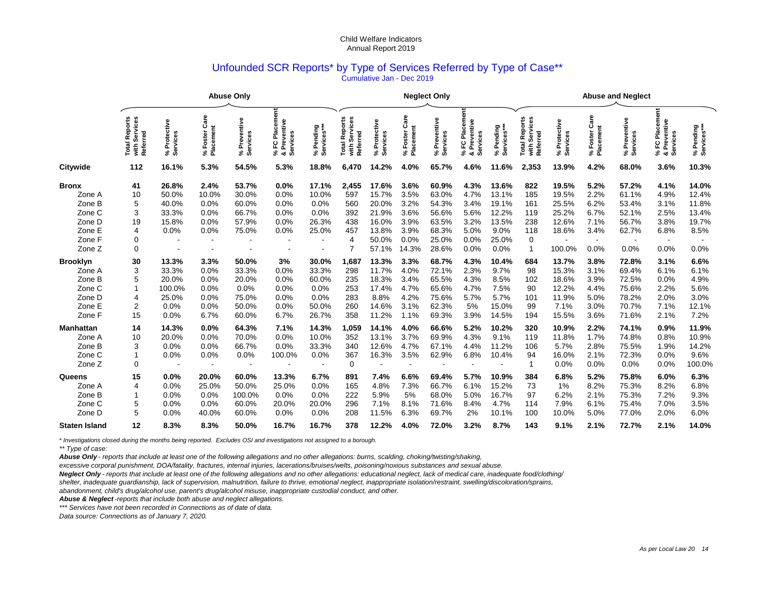#### Unfounded SCR Reports\* by Type of Services Referred by Type of Case\*\* Cumulative Jan - Dec 2019

|                                                                                                                                                                   | <b>Abuse Only</b>                                                       |                                                                                                                 |                                                                                                       |                                                                                                                  |                                                                                                    |                                                                                                               |                                                                                                               | <b>Neglect Only</b>                                                                                                                |                                                                                                                       |                                                                                                                                     |                                                                                                                    |                                                                                                                               | <b>Abuse and Neglect</b>                                                                                          |                                                                                                                            |                                                                                                                        |                                                                                                                           |                                                                                                                                |                                                                                                                    |
|-------------------------------------------------------------------------------------------------------------------------------------------------------------------|-------------------------------------------------------------------------|-----------------------------------------------------------------------------------------------------------------|-------------------------------------------------------------------------------------------------------|------------------------------------------------------------------------------------------------------------------|----------------------------------------------------------------------------------------------------|---------------------------------------------------------------------------------------------------------------|---------------------------------------------------------------------------------------------------------------|------------------------------------------------------------------------------------------------------------------------------------|-----------------------------------------------------------------------------------------------------------------------|-------------------------------------------------------------------------------------------------------------------------------------|--------------------------------------------------------------------------------------------------------------------|-------------------------------------------------------------------------------------------------------------------------------|-------------------------------------------------------------------------------------------------------------------|----------------------------------------------------------------------------------------------------------------------------|------------------------------------------------------------------------------------------------------------------------|---------------------------------------------------------------------------------------------------------------------------|--------------------------------------------------------------------------------------------------------------------------------|--------------------------------------------------------------------------------------------------------------------|
|                                                                                                                                                                   | <b>Total Reports<br/>with Services</b><br>Referred                      | Protective<br>Services<br>వ్                                                                                    | Care<br>Placement<br>Foster<br>వ్                                                                     | reventive<br>Services<br>≏<br>వి                                                                                 | ã<br>m<br>Se<br>Preventive<br><u>កិ</u><br>Services<br>ပူ<br>వ్<br>ಂಶ                              | ending<br>ဖိ<br>Service<br>Δ.<br>వి                                                                           | I Reports<br>Services<br>Referred<br>otal                                                                     | Protective<br>Services<br>న్                                                                                                       | Care<br>% Foster Care<br>Placement                                                                                    | Preventive<br>Services<br>వి                                                                                                        | ã<br>Placem<br>Preventive<br>ဥ<br>వ్<br>య                                                                          | % Pending<br>Services***<br>వి                                                                                                | orts<br>Services<br>Rep<br>Referred<br>Total<br>with                                                              | ctive<br>Services<br>rote<br>௨<br>వి                                                                                       | Care<br>% Foster Cannel<br>Placement                                                                                   | Preventive<br>% Prev<br>Service                                                                                           | Placement<br>Preventive<br>ပူ<br>వ్<br>ంర<br>m                                                                                 | % Pending<br>Services***                                                                                           |
| <b>Citywide</b>                                                                                                                                                   | 112                                                                     | 16.1%                                                                                                           | 5.3%                                                                                                  | 54.5%                                                                                                            | 5.3%                                                                                               | 18.8%                                                                                                         | 6,470                                                                                                         | .2%<br>14.                                                                                                                         | 4.0%                                                                                                                  | 65.7%                                                                                                                               | 4.6%                                                                                                               | 11.6%                                                                                                                         | 2,353                                                                                                             | 13.9%                                                                                                                      | 4.2%                                                                                                                   | 68.0%                                                                                                                     | 3.6%                                                                                                                           | 10.3%                                                                                                              |
| <b>Bronx</b><br>Zone A<br>Zone B<br>Zone C<br>Zone D<br>Zone E<br>Zone F<br>Zone Z<br><b>Brooklyn</b><br>Zone A<br>Zone B<br>Zone C<br>Zone D<br>Zone E<br>Zone F | 41<br>10<br>5<br>3<br>19<br>4<br>0<br>0<br>30<br>3<br>5<br>4<br>2<br>15 | 26.8%<br>50.0%<br>40.0%<br>33.3%<br>15.8%<br>0.0%<br>13.3%<br>33.3%<br>20.0%<br>100.0%<br>25.0%<br>0.0%<br>0.0% | 2.4%<br>10.0%<br>0.0%<br>0.0%<br>0.0%<br>0.0%<br>3.3%<br>0.0%<br>0.0%<br>0.0%<br>0.0%<br>0.0%<br>6.7% | 53.7%<br>30.0%<br>60.0%<br>66.7%<br>57.9%<br>75.0%<br>50.0%<br>33.3%<br>20.0%<br>0.0%<br>75.0%<br>50.0%<br>60.0% | 0.0%<br>0.0%<br>0.0%<br>0.0%<br>0.0%<br>0.0%<br>3%<br>0.0%<br>0.0%<br>0.0%<br>0.0%<br>0.0%<br>6.7% | 17.1%<br>10.0%<br>0.0%<br>0.0%<br>26.3%<br>25.0%<br>30.0%<br>33.3%<br>60.0%<br>0.0%<br>0.0%<br>50.0%<br>26.7% | 2,455<br>597<br>560<br>392<br>438<br>457<br>$\overline{4}$<br>1,687<br>298<br>235<br>253<br>283<br>260<br>358 | 17.6%<br>15.7%<br>20.0%<br>21.9%<br>16.0%<br>13.8%<br>50.0%<br>57.1%<br>13.3%<br>11.7%<br>18.3%<br>17.4%<br>8.8%<br>14.6%<br>11.2% | 3.6%<br>3.5%<br>3.2%<br>3.6%<br>3.9%<br>3.9%<br>0.0%<br>14.3%<br>3.3%<br>4.0%<br>3.4%<br>4.7%<br>4.2%<br>3.1%<br>1.1% | 60.9%<br>63.0%<br>54.3%<br>56.6%<br>63.5%<br>68.3%<br>25.0%<br>28.6%<br>68.7%<br>72.1%<br>65.5%<br>65.6%<br>75.6%<br>62.3%<br>69.3% | 4.3%<br>4.7%<br>3.4%<br>5.6%<br>3.2%<br>5.0%<br>0.0%<br>0.0%<br>4.3%<br>2.3%<br>4.3%<br>4.7%<br>5.7%<br>5%<br>3.9% | 13.6%<br>13.1%<br>19.1%<br>12.2%<br>13.5%<br>9.0%<br>25.0%<br>0.0%<br>10.4%<br>9.7%<br>8.5%<br>7.5%<br>5.7%<br>15.0%<br>14.5% | 822<br>185<br>161<br>119<br>238<br>118<br>$\pmb{0}$<br>$\mathbf{1}$<br>684<br>98<br>102<br>90<br>101<br>99<br>194 | 19.5%<br>19.5%<br>25.5%<br>25.2%<br>12.6%<br>18.6%<br>100.0%<br>13.7%<br>15.3%<br>18.6%<br>12.2%<br>11.9%<br>7.1%<br>15.5% | 5.2%<br>2.2%<br>6.2%<br>6.7%<br>7.1%<br>3.4%<br>$\sim$<br>0.0%<br>3.8%<br>3.1%<br>3.9%<br>4.4%<br>5.0%<br>3.0%<br>3.6% | 57.2%<br>61.1%<br>53.4%<br>52.1%<br>56.7%<br>62.7%<br>0.0%<br>72.8%<br>69.4%<br>72.5%<br>75.6%<br>78.2%<br>70.7%<br>71.6% | 4.1%<br>4.9%<br>3.1%<br>2.5%<br>3.8%<br>6.8%<br>$\overline{a}$<br>0.0%<br>3.1%<br>6.1%<br>0.0%<br>2.2%<br>2.0%<br>7.1%<br>2.1% | 14.0%<br>12.4%<br>11.8%<br>13.4%<br>19.7%<br>8.5%<br>0.0%<br>6.6%<br>6.1%<br>4.9%<br>5.6%<br>3.0%<br>12.1%<br>7.2% |
| <b>Manhattan</b><br>Zone A<br>Zone B<br>Zone C<br>Zone Z<br><b>Queens</b><br>Zone A<br>Zone B                                                                     | 14<br>10<br>3<br>0<br>15<br>4                                           | 14.3%<br>20.0%<br>0.0%<br>0.0%<br>0.0%<br>0.0%<br>0.0%                                                          | 0.0%<br>0.0%<br>0.0%<br>0.0%<br>20.0%<br>25.0%<br>0.0%                                                | 64.3%<br>70.0%<br>66.7%<br>0.0%<br>60.0%<br>50.0%<br>100.0%                                                      | 7.1%<br>0.0%<br>0.0%<br>100.0%<br>13.3%<br>25.0%<br>0.0%                                           | 14.3%<br>10.0%<br>33.3%<br>0.0%<br>6.7%<br>0.0%<br>0.0%                                                       | 1,059<br>352<br>340<br>367<br>$\mathbf 0$<br>891<br>165<br>222                                                | 14.1%<br>13.1%<br>12.6%<br>16.3%<br>7.4%<br>4.8%<br>5.9%                                                                           | 4.0%<br>3.7%<br>4.7%<br>3.5%<br>6.6%<br>7.3%<br>5%                                                                    | 66.6%<br>69.9%<br>67.1%<br>62.9%<br>69.4%<br>66.7%<br>68.0%                                                                         | 5.2%<br>4.3%<br>4.4%<br>6.8%<br>5.7%<br>6.1%<br>5.0%                                                               | 10.2%<br>9.1%<br>11.2%<br>10.4%<br>10.9%<br>15.2%<br>16.7%                                                                    | 320<br>119<br>106<br>94<br>$\overline{\mathbf{1}}$<br>384<br>73<br>97                                             | 10.9%<br>11.8%<br>5.7%<br>16.0%<br>0.0%<br>6.8%<br>1%<br>6.2%                                                              | 2.2%<br>1.7%<br>2.8%<br>2.1%<br>0.0%<br>5.2%<br>8.2%<br>2.1%                                                           | 74.1%<br>74.8%<br>75.5%<br>72.3%<br>0.0%<br>75.8%<br>75.3%<br>75.3%                                                       | 0.9%<br>0.8%<br>1.9%<br>0.0%<br>0.0%<br>6.0%<br>8.2%<br>7.2%                                                                   | 11.9%<br>10.9%<br>14.2%<br>9.6%<br>100.0%<br>6.3%<br>6.8%<br>9.3%                                                  |
| Zone C<br>Zone D<br><b>Staten Island</b>                                                                                                                          | 5<br>5<br>12                                                            | 0.0%<br>0.0%<br>8.3%                                                                                            | 0.0%<br>40.0%<br>8.3%                                                                                 | 60.0%<br>60.0%<br>50.0%                                                                                          | 20.0%<br>0.0%<br>16.7%                                                                             | 20.0%<br>0.0%<br>16.7%                                                                                        | 296<br>208<br>378                                                                                             | 7.1%<br>11.5%<br>12.2%                                                                                                             | 8.1%<br>6.3%<br>4.0%                                                                                                  | 71.6%<br>69.7%<br>72.0%                                                                                                             | 8.4%<br>2%<br>3.2%                                                                                                 | 4.7%<br>10.1%<br>8.7%                                                                                                         | 114<br>100<br>143                                                                                                 | 7.9%<br>10.0%<br>9.1%                                                                                                      | 6.1%<br>5.0%<br>2.1%                                                                                                   | 75.4%<br>77.0%<br>72.7%                                                                                                   | 7.0%<br>2.0%<br>2.1%                                                                                                           | 3.5%<br>6.0%<br>14.0%                                                                                              |

*\* Investigations closed during the months being reported. Excludes OSI and investigations not assigned to a borough.*

*Abuse Only - reports that include at least one of the following allegations and no other allegations: burns, scalding, choking/twisting/shaking,* 

*excessive corporal punishment, DOA/fatality, fractures, internal injuries, lacerations/bruises/welts, poisoning/noxious substances and sexual abuse.*

*Neglect Only - reports that include at least one of the following allegations and no other allegations: educational neglect, lack of medical care, inadequate food/clothing/*

*shelter, inadequate guardianship, lack of supervision, malnutrition, failure to thrive, emotional neglect, inappropriate isolation/restraint, swelling/discoloration/sprains,*

*abandonment, child's drug/alcohol use, parent's drug/alcohol misuse, inappropriate custodial conduct, and other.*

*Abuse & Neglect -reports that include both abuse and neglect allegations.*

*\*\*\* Services have not been recorded in Connections as of date of data.* 

*<sup>\*\*</sup> Type of case:*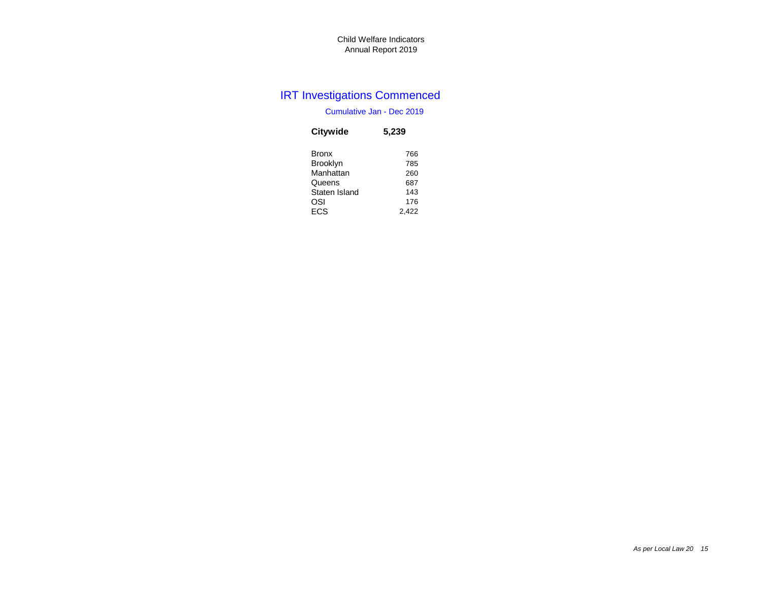## IRT Investigations Commenced

### Cumulative Jan - Dec 2019

| <b>Citywide</b> | 5,239 |
|-----------------|-------|
| Bronx           | 766   |
| <b>Brooklyn</b> | 785   |
| Manhattan       | 260   |
| Queens          | 687   |
| Staten Island   | 143   |
| OSI             | 176   |
| <b>ECS</b>      | 2.422 |
|                 |       |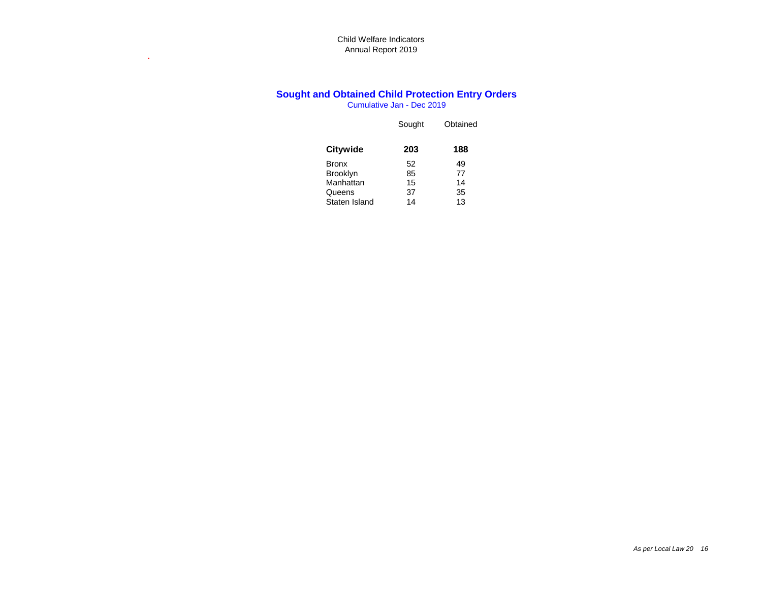**.**

## **Sought and Obtained Child Protection Entry Orders**

Cumulative Jan - Dec 2019

|                 | Sought | Obtained |
|-----------------|--------|----------|
| <b>Citywide</b> | 203    | 188      |
| Bronx           | 52     | 49       |
| <b>Brooklyn</b> | 85     | 77       |
| Manhattan       | 15     | 14       |
| Queens          | 37     | 35       |
| Staten Island   | 14     | 13       |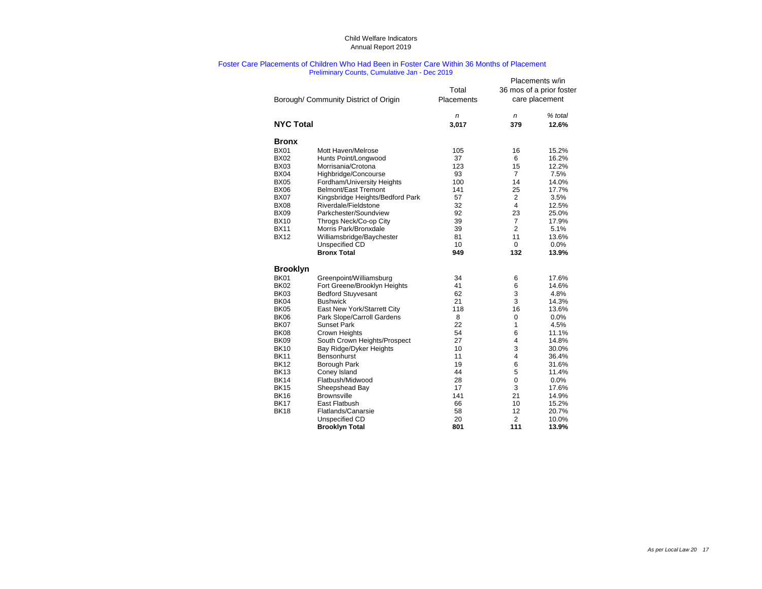#### Foster Care Placements of Children Who Had Been in Foster Care Within 36 Months of Placement Preliminary Counts, Cumulative Jan - Dec 2019

|                                                                                                                                                                                                                                                                                                                                                                                                                                                                                                                                                                                                                                                                                                                                                                                                                                                                                                                                                                                                                                                                                                                                                                                                                                                                                                                                                                                                      |            |       |                         | Placements w/in          |
|------------------------------------------------------------------------------------------------------------------------------------------------------------------------------------------------------------------------------------------------------------------------------------------------------------------------------------------------------------------------------------------------------------------------------------------------------------------------------------------------------------------------------------------------------------------------------------------------------------------------------------------------------------------------------------------------------------------------------------------------------------------------------------------------------------------------------------------------------------------------------------------------------------------------------------------------------------------------------------------------------------------------------------------------------------------------------------------------------------------------------------------------------------------------------------------------------------------------------------------------------------------------------------------------------------------------------------------------------------------------------------------------------|------------|-------|-------------------------|--------------------------|
|                                                                                                                                                                                                                                                                                                                                                                                                                                                                                                                                                                                                                                                                                                                                                                                                                                                                                                                                                                                                                                                                                                                                                                                                                                                                                                                                                                                                      |            | Total |                         | 36 mos of a prior foster |
| Borough/ Community District of Origin<br><b>NYC Total</b><br><b>Bronx</b><br><b>BX01</b><br>Mott Haven/Melrose<br><b>BX02</b><br>Hunts Point/Longwood<br><b>BX03</b><br>Morrisania/Crotona<br><b>BX04</b><br>Highbridge/Concourse<br><b>BX05</b><br>Fordham/University Heights<br><b>BX06</b><br><b>Belmont/East Tremont</b><br><b>BX07</b><br>Kingsbridge Heights/Bedford Park<br><b>BX08</b><br>Riverdale/Fieldstone<br><b>BX09</b><br>Parkchester/Soundview<br><b>BX10</b><br>Throgs Neck/Co-op City<br><b>BX11</b><br>Morris Park/Bronxdale<br><b>BX12</b><br>Williamsbridge/Baychester<br>Unspecified CD<br><b>Bronx Total</b><br><b>Brooklyn</b><br><b>BK01</b><br>Greenpoint/Williamsburg<br><b>BK02</b><br>Fort Greene/Brooklyn Heights<br><b>BK03</b><br><b>Bedford Stuyvesant</b><br>BK04<br><b>Bushwick</b><br><b>BK05</b><br>East New York/Starrett City<br><b>BK06</b><br>Park Slope/Carroll Gardens<br>BK07<br><b>Sunset Park</b><br><b>BK08</b><br>Crown Heights<br><b>BK09</b><br>South Crown Heights/Prospect<br><b>BK10</b><br>Bay Ridge/Dyker Heights<br><b>BK11</b><br>Bensonhurst<br><b>BK12</b><br><b>Borough Park</b><br><b>BK13</b><br>Coney Island<br><b>BK14</b><br>Flatbush/Midwood<br><b>BK15</b><br>Sheepshead Bay<br><b>BK16</b><br><b>Brownsville</b><br><b>BK17</b><br>East Flatbush<br><b>BK18</b><br>Flatlands/Canarsie<br>Unspecified CD<br><b>Brooklyn Total</b> | Placements |       | care placement          |                          |
|                                                                                                                                                                                                                                                                                                                                                                                                                                                                                                                                                                                                                                                                                                                                                                                                                                                                                                                                                                                                                                                                                                                                                                                                                                                                                                                                                                                                      |            | n     | n                       | % total                  |
|                                                                                                                                                                                                                                                                                                                                                                                                                                                                                                                                                                                                                                                                                                                                                                                                                                                                                                                                                                                                                                                                                                                                                                                                                                                                                                                                                                                                      |            | 3,017 | 379                     | 12.6%                    |
|                                                                                                                                                                                                                                                                                                                                                                                                                                                                                                                                                                                                                                                                                                                                                                                                                                                                                                                                                                                                                                                                                                                                                                                                                                                                                                                                                                                                      |            |       |                         |                          |
|                                                                                                                                                                                                                                                                                                                                                                                                                                                                                                                                                                                                                                                                                                                                                                                                                                                                                                                                                                                                                                                                                                                                                                                                                                                                                                                                                                                                      |            | 105   | 16                      | 15.2%                    |
|                                                                                                                                                                                                                                                                                                                                                                                                                                                                                                                                                                                                                                                                                                                                                                                                                                                                                                                                                                                                                                                                                                                                                                                                                                                                                                                                                                                                      |            | 37    | 6                       | 16.2%                    |
|                                                                                                                                                                                                                                                                                                                                                                                                                                                                                                                                                                                                                                                                                                                                                                                                                                                                                                                                                                                                                                                                                                                                                                                                                                                                                                                                                                                                      |            | 123   | 15                      | 12.2%                    |
|                                                                                                                                                                                                                                                                                                                                                                                                                                                                                                                                                                                                                                                                                                                                                                                                                                                                                                                                                                                                                                                                                                                                                                                                                                                                                                                                                                                                      |            | 93    | $\overline{7}$          | 7.5%                     |
|                                                                                                                                                                                                                                                                                                                                                                                                                                                                                                                                                                                                                                                                                                                                                                                                                                                                                                                                                                                                                                                                                                                                                                                                                                                                                                                                                                                                      |            | 100   | 14                      | 14.0%                    |
|                                                                                                                                                                                                                                                                                                                                                                                                                                                                                                                                                                                                                                                                                                                                                                                                                                                                                                                                                                                                                                                                                                                                                                                                                                                                                                                                                                                                      |            | 141   | 25                      | 17.7%                    |
|                                                                                                                                                                                                                                                                                                                                                                                                                                                                                                                                                                                                                                                                                                                                                                                                                                                                                                                                                                                                                                                                                                                                                                                                                                                                                                                                                                                                      |            | 57    | $\overline{2}$          | 3.5%                     |
|                                                                                                                                                                                                                                                                                                                                                                                                                                                                                                                                                                                                                                                                                                                                                                                                                                                                                                                                                                                                                                                                                                                                                                                                                                                                                                                                                                                                      |            | 32    | $\overline{4}$          | 12.5%                    |
|                                                                                                                                                                                                                                                                                                                                                                                                                                                                                                                                                                                                                                                                                                                                                                                                                                                                                                                                                                                                                                                                                                                                                                                                                                                                                                                                                                                                      |            | 92    | 23                      | 25.0%                    |
|                                                                                                                                                                                                                                                                                                                                                                                                                                                                                                                                                                                                                                                                                                                                                                                                                                                                                                                                                                                                                                                                                                                                                                                                                                                                                                                                                                                                      |            | 39    | $\overline{7}$          | 17.9%                    |
|                                                                                                                                                                                                                                                                                                                                                                                                                                                                                                                                                                                                                                                                                                                                                                                                                                                                                                                                                                                                                                                                                                                                                                                                                                                                                                                                                                                                      |            | 39    | $\overline{2}$          | 5.1%                     |
|                                                                                                                                                                                                                                                                                                                                                                                                                                                                                                                                                                                                                                                                                                                                                                                                                                                                                                                                                                                                                                                                                                                                                                                                                                                                                                                                                                                                      |            | 81    | 11                      | 13.6%                    |
|                                                                                                                                                                                                                                                                                                                                                                                                                                                                                                                                                                                                                                                                                                                                                                                                                                                                                                                                                                                                                                                                                                                                                                                                                                                                                                                                                                                                      |            | 10    | $\mathbf 0$             | $0.0\%$                  |
|                                                                                                                                                                                                                                                                                                                                                                                                                                                                                                                                                                                                                                                                                                                                                                                                                                                                                                                                                                                                                                                                                                                                                                                                                                                                                                                                                                                                      |            | 949   | 132                     | 13.9%                    |
|                                                                                                                                                                                                                                                                                                                                                                                                                                                                                                                                                                                                                                                                                                                                                                                                                                                                                                                                                                                                                                                                                                                                                                                                                                                                                                                                                                                                      |            |       |                         |                          |
|                                                                                                                                                                                                                                                                                                                                                                                                                                                                                                                                                                                                                                                                                                                                                                                                                                                                                                                                                                                                                                                                                                                                                                                                                                                                                                                                                                                                      |            | 34    | 6                       | 17.6%                    |
|                                                                                                                                                                                                                                                                                                                                                                                                                                                                                                                                                                                                                                                                                                                                                                                                                                                                                                                                                                                                                                                                                                                                                                                                                                                                                                                                                                                                      |            | 41    | 6                       | 14.6%                    |
|                                                                                                                                                                                                                                                                                                                                                                                                                                                                                                                                                                                                                                                                                                                                                                                                                                                                                                                                                                                                                                                                                                                                                                                                                                                                                                                                                                                                      |            | 62    | 3                       | 4.8%                     |
|                                                                                                                                                                                                                                                                                                                                                                                                                                                                                                                                                                                                                                                                                                                                                                                                                                                                                                                                                                                                                                                                                                                                                                                                                                                                                                                                                                                                      |            | 21    | 3                       | 14.3%                    |
|                                                                                                                                                                                                                                                                                                                                                                                                                                                                                                                                                                                                                                                                                                                                                                                                                                                                                                                                                                                                                                                                                                                                                                                                                                                                                                                                                                                                      |            | 118   | 16                      | 13.6%                    |
|                                                                                                                                                                                                                                                                                                                                                                                                                                                                                                                                                                                                                                                                                                                                                                                                                                                                                                                                                                                                                                                                                                                                                                                                                                                                                                                                                                                                      |            | 8     | $\pmb{0}$               | 0.0%                     |
|                                                                                                                                                                                                                                                                                                                                                                                                                                                                                                                                                                                                                                                                                                                                                                                                                                                                                                                                                                                                                                                                                                                                                                                                                                                                                                                                                                                                      |            | 22    | 1                       | 4.5%                     |
|                                                                                                                                                                                                                                                                                                                                                                                                                                                                                                                                                                                                                                                                                                                                                                                                                                                                                                                                                                                                                                                                                                                                                                                                                                                                                                                                                                                                      |            | 54    | 6                       | 11.1%                    |
|                                                                                                                                                                                                                                                                                                                                                                                                                                                                                                                                                                                                                                                                                                                                                                                                                                                                                                                                                                                                                                                                                                                                                                                                                                                                                                                                                                                                      |            | 27    | $\overline{\mathbf{4}}$ | 14.8%                    |
|                                                                                                                                                                                                                                                                                                                                                                                                                                                                                                                                                                                                                                                                                                                                                                                                                                                                                                                                                                                                                                                                                                                                                                                                                                                                                                                                                                                                      |            | 10    | 3                       | 30.0%                    |
|                                                                                                                                                                                                                                                                                                                                                                                                                                                                                                                                                                                                                                                                                                                                                                                                                                                                                                                                                                                                                                                                                                                                                                                                                                                                                                                                                                                                      |            | 11    | $\overline{\mathbf{4}}$ | 36.4%                    |
|                                                                                                                                                                                                                                                                                                                                                                                                                                                                                                                                                                                                                                                                                                                                                                                                                                                                                                                                                                                                                                                                                                                                                                                                                                                                                                                                                                                                      |            | 19    | $\,6$                   | 31.6%                    |
|                                                                                                                                                                                                                                                                                                                                                                                                                                                                                                                                                                                                                                                                                                                                                                                                                                                                                                                                                                                                                                                                                                                                                                                                                                                                                                                                                                                                      |            | 44    | 5                       | 11.4%                    |
|                                                                                                                                                                                                                                                                                                                                                                                                                                                                                                                                                                                                                                                                                                                                                                                                                                                                                                                                                                                                                                                                                                                                                                                                                                                                                                                                                                                                      |            | 28    | $\mathsf 0$             | 0.0%                     |
|                                                                                                                                                                                                                                                                                                                                                                                                                                                                                                                                                                                                                                                                                                                                                                                                                                                                                                                                                                                                                                                                                                                                                                                                                                                                                                                                                                                                      |            | 17    | 3                       | 17.6%                    |
|                                                                                                                                                                                                                                                                                                                                                                                                                                                                                                                                                                                                                                                                                                                                                                                                                                                                                                                                                                                                                                                                                                                                                                                                                                                                                                                                                                                                      |            | 141   | 21                      | 14.9%                    |
|                                                                                                                                                                                                                                                                                                                                                                                                                                                                                                                                                                                                                                                                                                                                                                                                                                                                                                                                                                                                                                                                                                                                                                                                                                                                                                                                                                                                      |            | 66    | 10                      | 15.2%                    |
|                                                                                                                                                                                                                                                                                                                                                                                                                                                                                                                                                                                                                                                                                                                                                                                                                                                                                                                                                                                                                                                                                                                                                                                                                                                                                                                                                                                                      |            | 58    | 12                      | 20.7%                    |
|                                                                                                                                                                                                                                                                                                                                                                                                                                                                                                                                                                                                                                                                                                                                                                                                                                                                                                                                                                                                                                                                                                                                                                                                                                                                                                                                                                                                      |            | 20    | $\overline{2}$          | 10.0%                    |
|                                                                                                                                                                                                                                                                                                                                                                                                                                                                                                                                                                                                                                                                                                                                                                                                                                                                                                                                                                                                                                                                                                                                                                                                                                                                                                                                                                                                      |            | 801   | 111                     | 13.9%                    |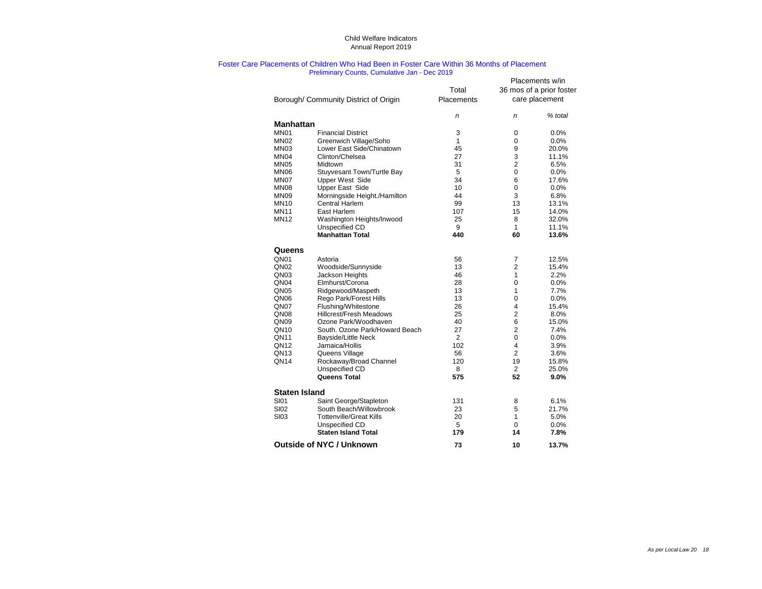#### Foster Care Placements of Children Who Had Been in Foster Care Within 36 Months of Placement Preliminary Counts, Cumulative Jan - Dec 2019

|                      |                                      | Total          |                         | Placements w/in<br>36 mos of a prior foster |
|----------------------|--------------------------------------|----------------|-------------------------|---------------------------------------------|
|                      | Borough/Community District of Origin | Placements     |                         | care placement                              |
|                      |                                      |                |                         |                                             |
| <b>Manhattan</b>     |                                      | n              | n                       | % total                                     |
| MN <sub>01</sub>     | <b>Financial District</b>            | 3              | $\pmb{0}$               | 0.0%                                        |
| MN <sub>02</sub>     | Greenwich Village/Soho               | 1              | $\pmb{0}$               | 0.0%                                        |
| MN <sub>03</sub>     | Lower East Side/Chinatown            | 45             | 9                       | 20.0%                                       |
| MN <sub>04</sub>     | Clinton/Chelsea                      | 27             | 3                       | 11.1%                                       |
| <b>MN05</b>          | Midtown                              | 31             | $\overline{c}$          | 6.5%                                        |
| MN <sub>06</sub>     | Stuyvesant Town/Turtle Bay           | 5              | $\boldsymbol{0}$        | 0.0%                                        |
| MN07                 | <b>Upper West Side</b>               | 34             | $\,6$                   | 17.6%                                       |
| <b>MN08</b>          | <b>Upper East Side</b>               | 10             | $\mathbf 0$             | 0.0%                                        |
| <b>MN09</b>          | Morningside Height./Hamilton         | 44             | 3                       | 6.8%                                        |
| <b>MN10</b>          | <b>Central Harlem</b>                | 99             | 13                      | 13.1%                                       |
| <b>MN11</b>          | East Harlem                          | 107            | 15                      | 14.0%                                       |
| <b>MN12</b>          | Washington Heights/Inwood            | 25             | 8                       | 32.0%                                       |
|                      | Unspecified CD                       | 9              | 1                       | 11.1%                                       |
|                      | <b>Manhattan Total</b>               | 440            | 60                      | 13.6%                                       |
| Queens               |                                      |                |                         |                                             |
| QN <sub>01</sub>     | Astoria                              | 56             | 7                       | 12.5%                                       |
| QN <sub>02</sub>     | Woodside/Sunnyside                   | 13             | $\overline{c}$          | 15.4%                                       |
| QN <sub>03</sub>     | Jackson Heights                      | 46             | 1                       | 2.2%                                        |
| QN <sub>04</sub>     | Elmhurst/Corona                      | 28             | $\boldsymbol{0}$        | 0.0%                                        |
| QN <sub>05</sub>     | Ridgewood/Maspeth                    | 13             | 1                       | 7.7%                                        |
| QN <sub>06</sub>     | Rego Park/Forest Hills               | 13             | $\mathbf 0$             | 0.0%                                        |
| QN07                 | Flushing/Whitestone                  | 26             | $\overline{\mathbf{4}}$ | 15.4%                                       |
| QN <sub>08</sub>     | <b>Hillcrest/Fresh Meadows</b>       | 25             | $\overline{\mathbf{c}}$ | 8.0%                                        |
| QN <sub>09</sub>     | Ozone Park/Woodhaven                 | 40             | 6                       | 15.0%                                       |
| QN10                 | South. Ozone Park/Howard Beach       | 27             | $\overline{2}$          | 7.4%                                        |
| <b>QN11</b>          | Bayside/Little Neck                  | $\overline{2}$ | $\boldsymbol{0}$        | 0.0%                                        |
| QN <sub>12</sub>     | Jamaica/Hollis                       | 102            | 4                       | 3.9%                                        |
| QN <sub>13</sub>     | Queens Village                       | 56             | $\overline{2}$          | 3.6%                                        |
| QN <sub>14</sub>     | Rockaway/Broad Channel               | 120            | 19                      | 15.8%                                       |
|                      | Unspecified CD                       | 8              | $\overline{2}$          | 25.0%                                       |
|                      | <b>Queens Total</b>                  | 575            | 52                      | 9.0%                                        |
| <b>Staten Island</b> |                                      |                |                         |                                             |
| <b>SI01</b>          | Saint George/Stapleton               | 131            | 8                       | 6.1%                                        |
| <b>SI02</b>          | South Beach/Willowbrook              | 23             | 5                       | 21.7%                                       |
| <b>SI03</b>          | <b>Tottenville/Great Kills</b>       | 20             | 1                       | 5.0%                                        |
|                      | Unspecified CD                       | 5              | $\overline{0}$          | 0.0%                                        |
|                      | <b>Staten Island Total</b>           | 179            | 14                      | 7.8%                                        |
|                      | <b>Outside of NYC / Unknown</b>      | 73             | 10                      | 13.7%                                       |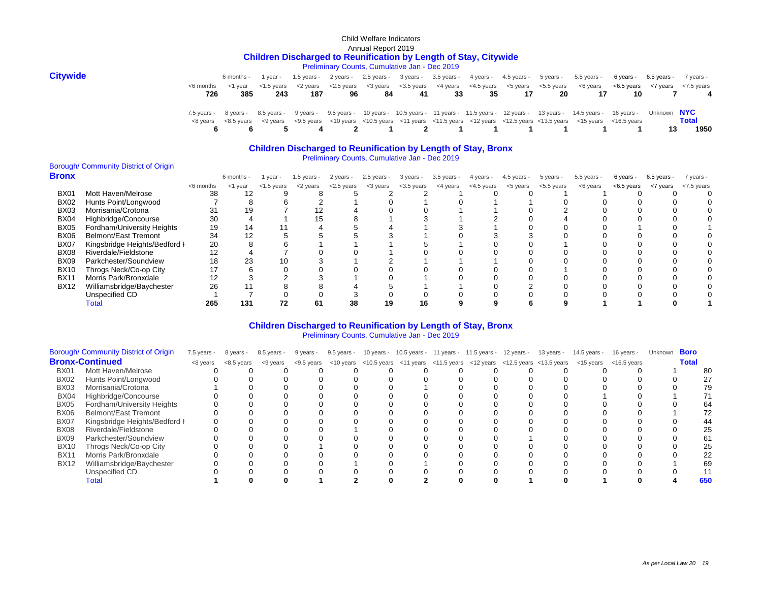#### Child Welfare Indicators Annual Report 2019 **Children Discharged to Reunification by Length of Stay, Citywide**

Preliminary Counts, Cumulative Jan - Dec 2019

| <b>Citywide</b> |     | 6 months - |     |     |    |    |     |    |     |    |     | 1 year - 1.5 years - 2 years - 2.5 years - 3 years - 3.5 years - 4 years - 4.5 years - 5 years - 5.5 years -                                                                                                                  | 6 years - 6.5 years - 7 years - |    |                |
|-----------------|-----|------------|-----|-----|----|----|-----|----|-----|----|-----|-------------------------------------------------------------------------------------------------------------------------------------------------------------------------------------------------------------------------------|---------------------------------|----|----------------|
|                 |     |            |     |     |    |    |     |    |     |    |     | <6 months <1 year <1.5 years <2 years <2.5 years <3 years <3.5 years <4 years <4.5 years <5.5 years <6 years <6 years <6.5 years <7 years <7.5 years <7.5 years <7.5 years <7.5 years <4.5 years <6 years <6 years <6.5 years |                                 |    |                |
|                 | 726 | 385        | 243 | 187 | 96 | 84 | -41 | 33 | -35 | 17 | -20 | 17                                                                                                                                                                                                                            | 10                              |    | $\overline{4}$ |
|                 |     |            |     |     |    |    |     |    |     |    |     | 7.5 years - 8 years - 8.5 years - 9 years - 9.5 years - 10 years - 10.5 years - 11 years - 11.5 years - 12 years - 13 years - 14.5 years - 16 years - Unknown NYC                                                             |                                 |    |                |
|                 |     |            |     |     |    |    |     |    |     |    |     | <8 years <8.5 years <9 years <9.5 years <10 years <10.5 years <10.5 years <11 years <11.5 years <12 years <12.5 years <13.5 years <15 years <16.5 years                                                                       |                                 |    | <b>Total</b>   |
|                 |     |            |     |     |    |    |     |    |     |    |     | 6 6 5 4 2 1 2 1 1 1 1 1 1 1                                                                                                                                                                                                   |                                 | 13 | 1950           |

#### **Children Discharged to Reunification by Length of Stay, Bronx**

Preliminary Counts, Cumulative Jan - Dec 2019

## Borough/ Community District of Origin

| <b>Bronx</b> |                               |           | 6 months - | year -        | 1.5 years - | 2 years -     | $2.5$ years - | 3 years -     | $3.5$ years - | 4 years -  | $4.5$ years - | 5 years -     | $5.5$ years - | 6 years -  | $6.5$ years - | 7 years -  |
|--------------|-------------------------------|-----------|------------|---------------|-------------|---------------|---------------|---------------|---------------|------------|---------------|---------------|---------------|------------|---------------|------------|
|              |                               | <6 months | <1 year    | $<$ 1.5 years | <2 years    | $<$ 2.5 years | <3 years      | $<$ 3.5 years | <4 years      | <4.5 years | <5 years      | $<$ 5.5 years | <6 years      | <6.5 years | <7 years      | <7.5 years |
| <b>BX01</b>  | Mott Haven/Melrose            | 38        | 12         |               |             |               |               |               |               |            |               |               |               |            |               |            |
| <b>BX02</b>  | Hunts Point/Longwood          |           |            |               |             |               |               |               |               |            |               |               |               |            |               |            |
| <b>BX03</b>  | Morrisania/Crotona            |           | 19         |               |             |               |               |               |               |            |               |               |               |            |               |            |
| <b>BX04</b>  | Highbridge/Concourse          | 30        |            |               |             |               |               |               |               |            |               |               |               |            |               |            |
| <b>BX05</b>  | Fordham/University Heights    | 19        | 14         |               |             |               |               |               |               |            |               |               |               |            |               |            |
| <b>BX06</b>  | <b>Belmont/East Tremont</b>   | 34        | 12         |               |             |               |               |               |               |            |               |               |               |            |               |            |
| <b>BX07</b>  | Kingsbridge Heights/Bedford I | 20        |            |               |             |               |               |               |               |            |               |               |               |            |               |            |
| <b>BX08</b>  | Riverdale/Fieldstone          | 12        |            |               |             |               |               |               |               |            |               |               |               |            |               |            |
| <b>BX09</b>  | Parkchester/Soundview         | 18        | 23         | 10            |             |               |               |               |               |            |               |               |               |            |               |            |
| <b>BX10</b>  | Throgs Neck/Co-op City        |           |            |               |             |               |               |               |               |            |               |               |               |            |               |            |
| <b>BX11</b>  | Morris Park/Bronxdale         | 12        |            |               |             |               |               |               |               |            |               |               |               |            |               |            |
| <b>BX12</b>  | Williamsbridge/Baychester     | 26        |            |               |             |               |               |               |               |            |               |               |               |            |               |            |
|              | Unspecified CD                |           |            |               |             |               |               |               |               |            |               |               |               |            |               |            |
|              | <b>Total</b>                  | 265       | 131        | 72            | 61          | 38            | 19            | 16            |               |            |               |               |               |            |               |            |

#### Preliminary Counts, Cumulative Jan - Dec 2019 **Children Discharged to Reunification by Length of Stay, Bronx**

|                  | Borough/ Community District of Origin | $7.5$ years - | 8 years -  | 8.5 years - | 9 years - | 9.5 years - |  | 10 years - 10.5 years - 11 years - 11.5 years - 12 years - | 13 years - | 14.5 years -                                                                                                   | 16 years - | Unknown | <b>Boro</b>  |     |
|------------------|---------------------------------------|---------------|------------|-------------|-----------|-------------|--|------------------------------------------------------------|------------|----------------------------------------------------------------------------------------------------------------|------------|---------|--------------|-----|
|                  | <b>Bronx-Continued</b>                | <8 years      | <8.5 years | <9 years    |           |             |  |                                                            |            | <9.5 years <10 years <10.5 years <11 years <11.5 years <12 years <12.5 years <13.5 years <15 years <16.5 years |            |         | <b>Total</b> |     |
| <b>BX01</b>      | Mott Haven/Melrose                    |               |            |             |           |             |  |                                                            |            |                                                                                                                |            |         |              |     |
| <b>BX02</b>      | Hunts Point/Longwood                  |               |            |             |           |             |  |                                                            |            |                                                                                                                |            |         |              |     |
| <b>BX03</b>      | Morrisania/Crotona                    |               |            |             |           |             |  |                                                            |            |                                                                                                                |            |         |              |     |
| BX04             | Highbridge/Concourse                  |               |            |             |           |             |  |                                                            |            |                                                                                                                |            |         |              |     |
| <b>BX05</b>      | Fordham/University Heights            |               |            |             |           |             |  |                                                            |            |                                                                                                                |            |         |              |     |
| <b>BX06</b>      | <b>Belmont/East Tremont</b>           |               |            |             |           |             |  |                                                            |            |                                                                                                                |            |         |              |     |
| BX07             | Kingsbridge Heights/Bedford I         |               |            |             |           |             |  |                                                            |            |                                                                                                                |            |         |              |     |
| BX <sub>08</sub> | Riverdale/Fieldstone                  |               |            |             |           |             |  |                                                            |            |                                                                                                                |            |         |              |     |
| <b>BX09</b>      | Parkchester/Soundview                 |               |            |             |           |             |  |                                                            |            |                                                                                                                |            |         |              |     |
| <b>BX10</b>      | Throgs Neck/Co-op City                |               |            |             |           |             |  |                                                            |            |                                                                                                                |            |         |              |     |
| <b>BX11</b>      | Morris Park/Bronxdale                 |               |            |             |           |             |  |                                                            |            |                                                                                                                |            |         |              |     |
| <b>BX12</b>      | Williamsbridge/Baychester             |               |            |             |           |             |  |                                                            |            |                                                                                                                |            |         |              | 69  |
|                  | Unspecified CD                        |               |            |             |           |             |  |                                                            |            |                                                                                                                |            |         |              |     |
|                  | l otal                                |               |            |             |           |             |  |                                                            |            |                                                                                                                |            |         |              | 650 |
|                  |                                       |               |            |             |           |             |  |                                                            |            |                                                                                                                |            |         |              |     |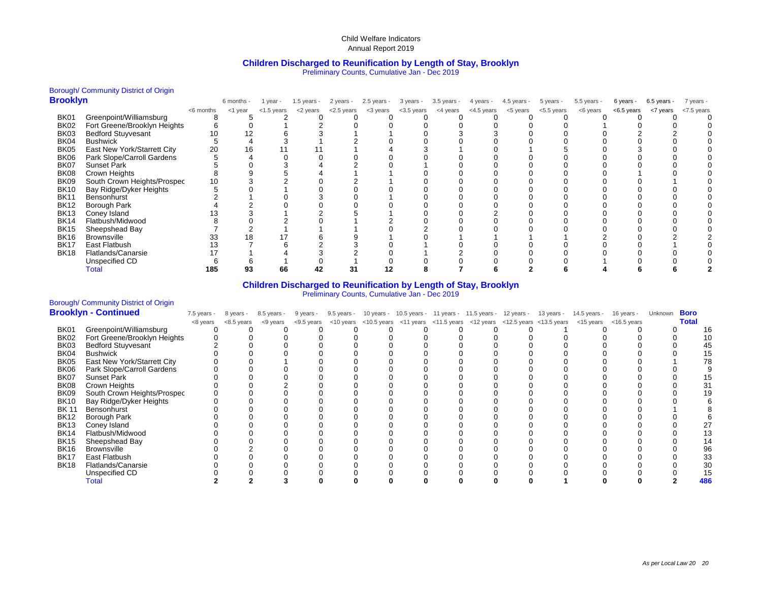#### **Children Discharged to Reunification by Length of Stay, Brooklyn** Preliminary Counts, Cumulative Jan - Dec 2019

## Borough/ Community District of Origin

| <b>Brooklyn</b> |                              |           | 6 months - | 1 year -   | $1.5$ years - | 2 years -  | $2.5$ years - | 3 years -  | $3.5$ years - | 4 years -  | $4.5$ years - | 5 years -  | 5.5 years - | 6 years -  | $6.5$ years - | 7 years -  |
|-----------------|------------------------------|-----------|------------|------------|---------------|------------|---------------|------------|---------------|------------|---------------|------------|-------------|------------|---------------|------------|
|                 |                              | <6 months | <1 year    | <1.5 years | <2 years      | <2.5 years | <3 years      | <3.5 years | <4 years      | <4.5 years | <5 years      | <5.5 years | <6 years    | <6.5 years | <7 years      | <7.5 years |
| <b>BK01</b>     | Greenpoint/Williamsburg      |           |            |            |               |            |               |            |               |            |               |            |             |            |               |            |
| <b>BK02</b>     | Fort Greene/Brooklyn Heights |           |            |            |               |            |               |            |               |            |               |            |             |            |               |            |
| <b>BK03</b>     | <b>Bedford Stuyvesant</b>    | 10        |            |            |               |            |               |            |               |            |               |            |             |            |               |            |
| BK04            | <b>Bushwick</b>              |           |            |            |               |            |               |            |               |            |               |            |             |            |               |            |
| <b>BK05</b>     | East New York/Starrett City  | 20        | 16         |            |               |            |               |            |               |            |               |            |             |            |               |            |
| BK06            | Park Slope/Carroll Gardens   |           |            |            |               |            |               |            |               |            |               |            |             |            |               |            |
| <b>BK07</b>     | <b>Sunset Park</b>           |           |            |            |               |            |               |            |               |            |               |            |             |            |               |            |
| <b>BK08</b>     | Crown Heights                |           |            |            |               |            |               |            |               |            |               |            |             |            |               |            |
| BK09            | South Crown Heights/Prospec  | 10        |            |            |               |            |               |            |               |            |               |            |             |            |               |            |
| <b>BK10</b>     | Bay Ridge/Dyker Heights      |           |            |            |               |            |               |            |               |            |               |            |             |            |               |            |
| <b>BK11</b>     | Bensonhurst                  |           |            |            |               |            |               |            |               |            |               |            |             |            |               |            |
| <b>BK12</b>     | <b>Borough Park</b>          |           |            |            |               |            |               |            |               |            |               |            |             |            |               |            |
| <b>BK13</b>     | Coney Island                 |           |            |            |               |            |               |            |               |            |               |            |             |            |               |            |
| <b>BK14</b>     | Flatbush/Midwood             |           |            |            |               |            |               |            |               |            |               |            |             |            |               |            |
| <b>BK15</b>     | Sheepshead Bay               |           |            |            |               |            |               |            |               |            |               |            |             |            |               |            |
| <b>BK16</b>     | <b>Brownsville</b>           | 33        | 18         |            |               |            |               |            |               |            |               |            |             |            |               |            |
| <b>BK17</b>     | East Flatbush                | 13        |            |            |               |            |               |            |               |            |               |            |             |            |               |            |
| <b>BK18</b>     | Flatlands/Canarsie           |           |            |            |               |            |               |            |               |            |               |            |             |            |               |            |
|                 | Unspecified CD               |           |            |            |               |            |               |            |               |            |               |            |             |            |               |            |
|                 | <b>Total</b>                 | 185       | 93         | 66         | 42            |            |               |            |               |            |               |            |             |            |               |            |
|                 |                              |           |            |            |               |            |               |            |               |            |               |            |             |            |               |            |

## **Children Discharged to Reunification by Length of Stay, Brooklyn**

Preliminary Counts, Cumulative Jan - Dec 2019

# Borough/ Community District of Origin<br> **Brooklyn - Continued**

|             | <b>Brooklyn - Continued</b>  | $7.5$ years - | 8 years -  | 8.5 years - | 9 years -  | 9.5 years - | 10 years - 10.5 years - 11 years - 11.5 years - 12 years - 13 years - |  |  | 14.5 years -                                                                                        | 16 years - | Unknown | <b>Boro</b>  |
|-------------|------------------------------|---------------|------------|-------------|------------|-------------|-----------------------------------------------------------------------|--|--|-----------------------------------------------------------------------------------------------------|------------|---------|--------------|
|             |                              | <8 years      | <8.5 years | <9 years    | <9.5 years |             |                                                                       |  |  | <10 years <10.5 years <11 years <11.5 years <12 years <12.5 years <13.5 years <15 years <16.5 years |            |         | <b>Total</b> |
| <b>BK01</b> | Greenpoint/Williamsburg      |               |            |             |            |             |                                                                       |  |  |                                                                                                     |            |         |              |
| <b>BK02</b> | Fort Greene/Brooklyn Heights |               |            |             |            |             |                                                                       |  |  |                                                                                                     |            |         |              |
| <b>BK03</b> | <b>Bedford Stuyvesant</b>    |               |            |             |            |             |                                                                       |  |  |                                                                                                     |            |         |              |
| BK04        | <b>Bushwick</b>              |               |            |             |            |             |                                                                       |  |  |                                                                                                     |            |         |              |
| BK05        | East New York/Starrett City  |               |            |             |            |             |                                                                       |  |  |                                                                                                     |            |         |              |
| <b>BK06</b> | Park Slope/Carroll Gardens   |               |            |             |            |             |                                                                       |  |  |                                                                                                     |            |         |              |
| BK07        | <b>Sunset Park</b>           |               |            |             |            |             |                                                                       |  |  |                                                                                                     |            |         |              |
| BK08        | Crown Heights                |               |            |             |            |             |                                                                       |  |  |                                                                                                     |            |         |              |
| BK09        | South Crown Heights/Prospec  |               |            |             |            |             |                                                                       |  |  |                                                                                                     |            |         |              |
| <b>BK10</b> | Bay Ridge/Dyker Heights      |               |            |             |            |             |                                                                       |  |  |                                                                                                     |            |         |              |
| BK 11       | Bensonhurst                  |               |            |             |            |             |                                                                       |  |  |                                                                                                     |            |         |              |
| <b>BK12</b> | <b>Borough Park</b>          |               |            |             |            |             |                                                                       |  |  |                                                                                                     |            |         |              |
| <b>BK13</b> | Coney Island                 |               |            |             |            |             |                                                                       |  |  |                                                                                                     |            |         |              |
| <b>BK14</b> | Flatbush/Midwood             |               |            |             |            |             |                                                                       |  |  |                                                                                                     |            |         |              |
| <b>BK15</b> | Sheepshead Bay               |               |            |             |            |             |                                                                       |  |  |                                                                                                     |            |         |              |
| <b>BK16</b> | <b>Brownsville</b>           |               |            |             |            |             |                                                                       |  |  |                                                                                                     |            |         |              |
| BK17        | East Flatbush                |               |            |             |            |             |                                                                       |  |  |                                                                                                     |            |         |              |
| <b>BK18</b> | Flatlands/Canarsie           |               |            |             |            |             |                                                                       |  |  |                                                                                                     |            |         |              |
|             | Unspecified CD               |               |            |             |            |             |                                                                       |  |  |                                                                                                     |            |         |              |
|             | Total                        |               |            |             |            |             |                                                                       |  |  |                                                                                                     |            |         | 486          |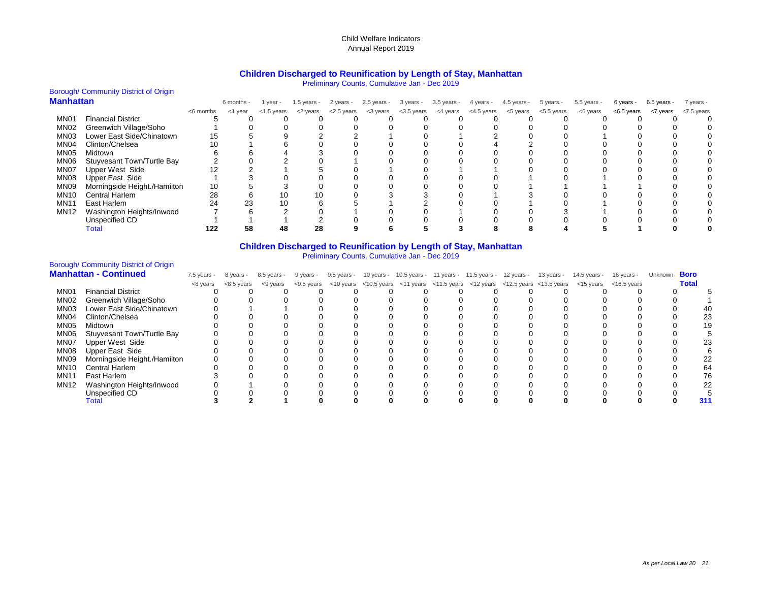#### **Children Discharged to Reunification by Length of Stay, Manhattan**

Preliminary Counts, Cumulative Jan - Dec 2019

|                  | <b>Borough/ Community District of Origin</b> |           |            |               |               |               |             |           |                     |            |             |            |               |               |               |            |
|------------------|----------------------------------------------|-----------|------------|---------------|---------------|---------------|-------------|-----------|---------------------|------------|-------------|------------|---------------|---------------|---------------|------------|
| <b>Manhattan</b> |                                              |           | 6 months - | year -        | $1.5$ years - | 2 years -     | 2.5 years - | 3 years - | 3.5 years -         | 4 years -  | 4.5 years - | 5 years -  | $5.5$ years - | 6 years -     | $6.5$ years - | 7 years -  |
|                  |                                              | <6 months | <1 year    | $<$ 1.5 years | <2 years      | $<$ 2.5 years | <3 years    |           | <3.5 years <4 years | <4.5 years | <5 years    | <5.5 years | <6 years      | $<$ 6.5 years | <7 years      | <7.5 years |
| MN <sub>01</sub> | <b>Financial District</b>                    |           |            |               |               |               |             |           |                     |            |             |            |               |               |               |            |
| MN <sub>02</sub> | Greenwich Village/Soho                       |           |            |               |               |               |             |           |                     |            |             |            |               |               |               |            |
| MN <sub>03</sub> | Lower East Side/Chinatown                    | 15        |            |               |               |               |             |           |                     |            |             |            |               |               |               |            |
| MN <sub>04</sub> | Clinton/Chelsea                              | 10        |            |               |               |               |             |           |                     |            |             |            |               |               |               |            |
| MN <sub>05</sub> | Midtown                                      |           |            |               |               |               |             |           |                     |            |             |            |               |               |               |            |
| MN06             | Stuyvesant Town/Turtle Bay                   |           |            |               |               |               |             |           |                     |            |             |            |               |               |               |            |
| MN07             | <b>Upper West Side</b>                       |           |            |               |               |               |             |           |                     |            |             |            |               |               |               |            |
| MN08             | <b>Upper East Side</b>                       |           |            |               |               |               |             |           |                     |            |             |            |               |               |               |            |
| MN09             | Morningside Height./Hamilton                 | 10        |            |               |               |               |             |           |                     |            |             |            |               |               |               |            |
| <b>MN10</b>      | Central Harlem                               | 28        |            | 10            | 10            |               |             |           |                     |            |             |            |               |               |               |            |
| <b>MN11</b>      | East Harlem                                  | 24        | 23         | 10            |               |               |             |           |                     |            |             |            |               |               |               |            |
| <b>MN12</b>      | Washington Heights/Inwood                    |           |            |               |               |               |             |           |                     |            |             |            |               |               |               |            |
|                  | Unspecified CD                               |           |            |               |               |               |             |           |                     |            |             |            |               |               |               |            |
|                  | Total                                        | 122       | 58         | 48            | 28            |               |             |           |                     |            |             |            |               |               |               |            |

#### **Children Discharged to Reunification by Length of Stay, Manhattan** Preliminary Counts, Cumulative Jan - Dec 2019

## Borough/ Community District of Origin

|                  | <b>Manhattan - Continued</b>  | $7.5$ years - | 8 years -  | 8.5 years - | 9 years - | 9.5 years - |  | 10 years - 10.5 years - 11 years - 11.5 years - 12 years - | 13 years - | 14.5 years -                                                                                                                                                                                                                                                | 16 years - | Unknown | <b>Boro</b>  |    |
|------------------|-------------------------------|---------------|------------|-------------|-----------|-------------|--|------------------------------------------------------------|------------|-------------------------------------------------------------------------------------------------------------------------------------------------------------------------------------------------------------------------------------------------------------|------------|---------|--------------|----|
|                  |                               | <8 years      | <8.5 years | <9 years    |           |             |  |                                                            |            | $\langle 9.5 \rangle$ years $\langle 10 \rangle$ years $\langle 10.5 \rangle$ years $\langle 11 \rangle$ years $\langle 12 \rangle$ years $\langle 12.5 \rangle$ years $\langle 13.5 \rangle$ years $\langle 15 \rangle$ years $\langle 16.5 \rangle$ years |            |         | <b>Total</b> |    |
| MN01             | <b>Financial District</b>     |               |            |             |           |             |  |                                                            |            |                                                                                                                                                                                                                                                             |            |         |              |    |
| MN <sub>02</sub> | <b>Greenwich Village/Soho</b> |               |            |             |           |             |  |                                                            |            |                                                                                                                                                                                                                                                             |            |         |              |    |
| MN <sub>03</sub> | Lower East Side/Chinatown     |               |            |             |           |             |  |                                                            |            |                                                                                                                                                                                                                                                             |            |         |              |    |
| MN04             | Clinton/Chelsea               |               |            |             |           |             |  |                                                            |            |                                                                                                                                                                                                                                                             |            |         |              |    |
| MN05             | Midtown                       |               |            |             |           |             |  |                                                            |            |                                                                                                                                                                                                                                                             |            |         |              |    |
| MN06             | Stuyvesant Town/Turtle Bay    |               |            |             |           |             |  |                                                            |            |                                                                                                                                                                                                                                                             |            |         |              |    |
| MN07             | <b>Upper West Side</b>        |               |            |             |           |             |  |                                                            |            |                                                                                                                                                                                                                                                             |            |         |              |    |
| MN08             | Upper East Side               |               |            |             |           |             |  |                                                            |            |                                                                                                                                                                                                                                                             |            |         |              |    |
| MN09             | Morningside Height./Hamilton  |               |            |             |           |             |  |                                                            |            |                                                                                                                                                                                                                                                             |            |         |              |    |
| MN <sub>10</sub> | Central Harlem                |               |            |             |           |             |  |                                                            |            |                                                                                                                                                                                                                                                             |            |         | 64           |    |
| <b>MN11</b>      | East Harlem                   |               |            |             |           |             |  |                                                            |            |                                                                                                                                                                                                                                                             |            |         |              | 76 |
| MN12             | Washington Heights/Inwood     |               |            |             |           |             |  |                                                            |            |                                                                                                                                                                                                                                                             |            |         |              |    |
|                  | Unspecified CD                |               |            |             |           |             |  |                                                            |            |                                                                                                                                                                                                                                                             |            |         |              |    |
|                  | <b>Total</b>                  |               |            |             |           |             |  |                                                            |            |                                                                                                                                                                                                                                                             |            |         |              |    |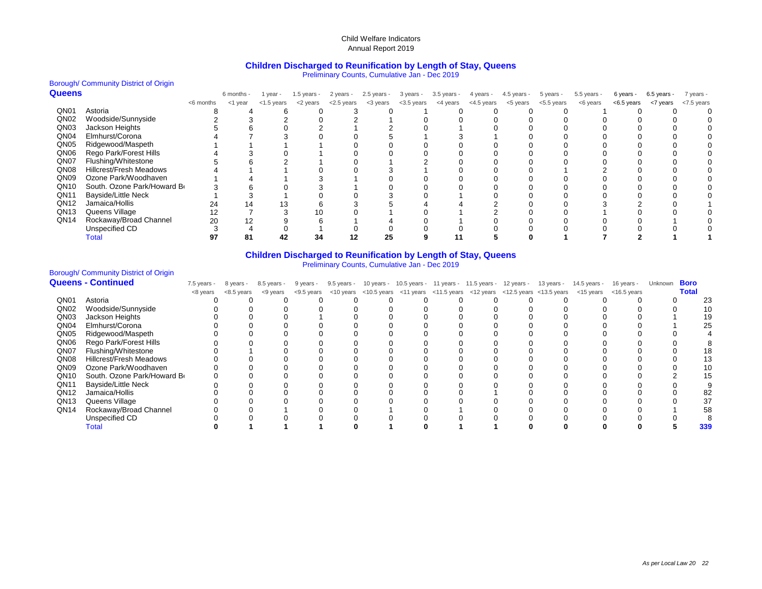#### **Children Discharged to Reunification by Length of Stay, Queens**

Preliminary Counts, Cumulative Jan - Dec 2019

#### Borough/ Community District of Origin

| <b>Queens</b>    |                                |           | 6 months - | 1 year -      | 1.5 years - | 2 years -     | $2.5$ years - | 3 years -  | $3.5$ years - | 4 years -  | $4.5$ years - | 5 years -     | $5.5$ years - | 6 years -  | $6.5$ years - | 7 years -     |
|------------------|--------------------------------|-----------|------------|---------------|-------------|---------------|---------------|------------|---------------|------------|---------------|---------------|---------------|------------|---------------|---------------|
|                  |                                | <6 months | <1 year    | $<$ 1.5 years | <2 years    | $<$ 2.5 years | <3 years      | <3.5 years | <4 years      | <4.5 years | <5 years      | $<$ 5.5 years | <6 years      | <6.5 years | <7 years      | $<$ 7.5 years |
| QN01             | Astoria                        |           |            |               |             |               |               |            |               |            |               |               |               |            |               |               |
| QN <sub>02</sub> | Woodside/Sunnyside             |           |            |               |             |               |               |            |               |            |               |               |               |            |               |               |
| QN <sub>03</sub> | Jackson Heights                |           |            |               |             |               |               |            |               |            |               |               |               |            |               |               |
| QN <sub>04</sub> | Elmhurst/Corona                |           |            |               |             |               |               |            |               |            |               |               |               |            |               |               |
| QN <sub>05</sub> | Ridgewood/Maspeth              |           |            |               |             |               |               |            |               |            |               |               |               |            |               |               |
| QN <sub>06</sub> | Rego Park/Forest Hills         |           |            |               |             |               |               |            |               |            |               |               |               |            |               |               |
| QN07             | Flushing/Whitestone            |           |            |               |             |               |               |            |               |            |               |               |               |            |               |               |
| QN <sub>08</sub> | <b>Hillcrest/Fresh Meadows</b> |           |            |               |             |               |               |            |               |            |               |               |               |            |               |               |
| QN <sub>09</sub> | Ozone Park/Woodhaven           |           |            |               |             |               |               |            |               |            |               |               |               |            |               |               |
| QN <sub>10</sub> | South. Ozone Park/Howard Br    |           |            |               |             |               |               |            |               |            |               |               |               |            |               |               |
| QN <sub>11</sub> | <b>Bayside/Little Neck</b>     |           |            |               |             |               |               |            |               |            |               |               |               |            |               |               |
| QN <sub>12</sub> | Jamaica/Hollis                 | 24        | 14         | 13            |             |               |               |            |               |            |               |               |               |            |               |               |
| QN <sub>13</sub> | Queens Village                 | 12        |            |               | 10          |               |               |            |               |            |               |               |               |            |               |               |
| QN <sub>14</sub> | Rockaway/Broad Channel         | 20        | 12         |               |             |               |               |            |               |            |               |               |               |            |               |               |
|                  | Unspecified CD                 |           |            |               |             |               |               |            |               |            |               |               |               |            |               |               |
|                  | Total                          |           | 81         | 42            | 34          |               | 25            |            |               |            |               |               |               |            |               |               |

#### **Children Discharged to Reunification by Length of Stay, Queens**

Preliminary Counts, Cumulative Jan - Dec 2019

# Borough/ Community District of Origin<br>**Queens - Continued**

|                  | <b>Queens - Continued</b>      | $7.5$ years - | 8 years -  | 8.5 years - | 9 years - | $9.5$ years - |  | 10 years - 10.5 years - 11 years - 11.5 years - 12 years - | 13 years - | 14.5 years -                                                                                       | 16 years -     | Unknown | <b>Boro</b>  |
|------------------|--------------------------------|---------------|------------|-------------|-----------|---------------|--|------------------------------------------------------------|------------|----------------------------------------------------------------------------------------------------|----------------|---------|--------------|
|                  |                                | <8 years      | <8.5 years | <9 years    |           |               |  |                                                            |            | <9.5 years <10 years <10.5 years <11 years <11.5 years <12 years <12.5 years <13.5 years <15 years | $<$ 16.5 years |         | <b>Total</b> |
| QN01             | Astoria                        |               |            |             |           |               |  |                                                            |            |                                                                                                    |                |         | 23           |
| QN <sub>02</sub> | Woodside/Sunnyside             |               |            |             |           |               |  |                                                            |            |                                                                                                    |                |         | 10           |
| QN <sub>03</sub> | Jackson Heights                |               |            |             |           |               |  |                                                            |            |                                                                                                    |                |         |              |
| QN <sub>04</sub> | Elmhurst/Corona                |               |            |             |           |               |  |                                                            |            |                                                                                                    |                |         |              |
| QN <sub>05</sub> | Ridgewood/Maspeth              |               |            |             |           |               |  |                                                            |            |                                                                                                    |                |         |              |
| QN <sub>06</sub> | Rego Park/Forest Hills         |               |            |             |           |               |  |                                                            |            |                                                                                                    |                |         |              |
| QN07             | Flushing/Whitestone            |               |            |             |           |               |  |                                                            |            |                                                                                                    |                |         |              |
| QN <sub>08</sub> | <b>Hillcrest/Fresh Meadows</b> |               |            |             |           |               |  |                                                            |            |                                                                                                    |                |         |              |
| QN <sub>09</sub> | Ozone Park/Woodhaven           |               |            |             |           |               |  |                                                            |            |                                                                                                    |                |         |              |
| QN <sub>10</sub> | South. Ozone Park/Howard Bo    |               |            |             |           |               |  |                                                            |            |                                                                                                    |                |         |              |
| QN <sub>11</sub> | <b>Bayside/Little Neck</b>     |               |            |             |           |               |  |                                                            |            |                                                                                                    |                |         |              |
| QN <sub>12</sub> | Jamaica/Hollis                 |               |            |             |           |               |  |                                                            |            |                                                                                                    |                |         |              |
| QN <sub>13</sub> | Queens Village                 |               |            |             |           |               |  |                                                            |            |                                                                                                    |                |         | 37           |
| QN <sub>14</sub> | Rockaway/Broad Channel         |               |            |             |           |               |  |                                                            |            |                                                                                                    |                |         | 58           |
|                  | Unspecified CD                 |               |            |             |           |               |  |                                                            |            |                                                                                                    |                |         |              |
|                  | <b>Total</b>                   |               |            |             |           |               |  |                                                            |            |                                                                                                    |                |         | 339          |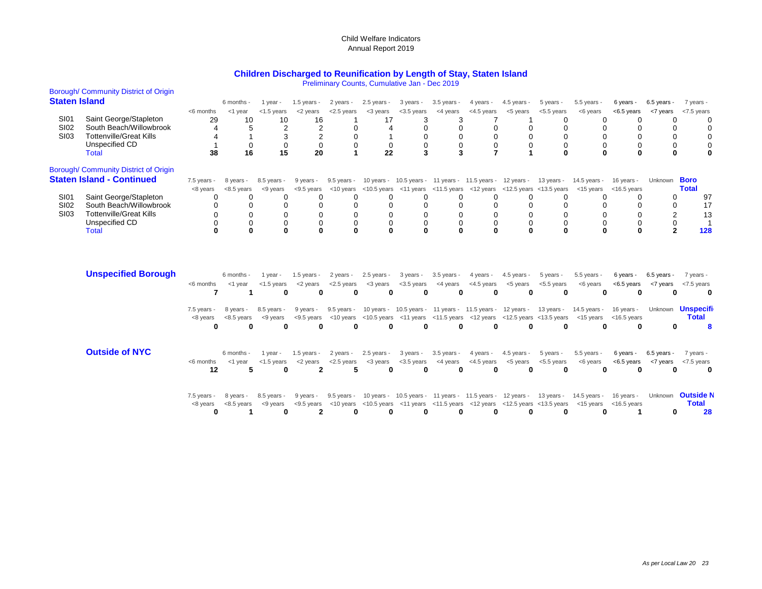### **Children Discharged to Reunification by Length of Stay, Staten Island**

Preliminary Counts, Cumulative Jan - Dec 2019

| <b>Staten Island</b><br>6 months -<br>1.5 years -<br>2 years -<br>$2.5$ years -<br>3 years -<br>$3.5$ years -<br>4 years -<br>$4.5$ years -<br>5 years -<br>$5.5$ years -<br>$6.5$ years -<br>1 year -<br>6 years -<br>7 years -<br>$<$ 1.5 years<br><2 years<br><2.5 years<br><3 years<br><3.5 years<br><4 years<br><4.5 years<br><5 years<br><5.5 years<br><6 years<br><7 years<br><6 months<br><1 year<br>$<$ 6.5 years<br><7.5 years<br>Saint George/Stapleton<br>SI01<br>29<br>16<br>10<br>17<br>10<br>3<br>3<br>0<br>0<br>0<br>O<br><b>SI02</b><br>South Beach/Willowbrook<br>$\overline{2}$<br>$\overline{c}$<br>0<br>0<br>$\Omega$<br>0<br><b>Tottenville/Great Kills</b><br><b>SI03</b><br>3<br>$\overline{2}$<br>$\mathbf 0$<br>0<br>0<br>0<br>$\Omega$<br>0<br>Unspecified CD<br>$\mathbf 0$<br>0<br>0<br>0<br>$\mathbf 0$<br>$\mathbf 0$<br>0<br>$\mathbf 0$<br>0<br>0<br>38<br>16<br>15<br>20<br>22<br>3<br>3<br>$\overline{7}$<br>$\bf{0}$<br>$\bf{0}$<br>$\Omega$<br>$\bf{0}$<br>$\bf{0}$<br>Total<br><b>Boro</b><br>$7.5$ years -<br>10 years - 10.5 years - 11 years - 11.5 years - 12 years - 13 years - 14.5 years -<br>16 years -<br>8 years -<br>8.5 years -<br>9 years -<br>$9.5$ years -<br>Unknown<br><b>Total</b><br>$\lt$ 10 years $\lt$ 10.5 years $\lt$ 11 years $\lt$ 11.5 years $\lt$ 12 years $\lt$ 12.5 years $\lt$ 13.5 years<br><8 years<br>$<8.5$ years<br><9 years<br>$<$ 9.5 years<br><15 years<br>$<$ 16.5 years<br>Saint George/Stapleton<br><b>SI01</b><br>97<br>$\Omega$<br>0<br>0<br>∩<br>0<br>0<br>0<br>0<br>0<br>O<br>0<br><b>SI02</b><br>South Beach/Willowbrook<br>0<br>17<br>0<br>0<br>0<br><b>Tottenville/Great Kills</b><br>SI03<br>$\overline{2}$<br>$\mathbf 0$<br>0<br>$\mathbf 0$<br>13<br>$\Omega$<br>0<br>0<br>0<br>$\Omega$<br>$\Omega$<br>0<br>Unspecified CD<br>$\mathbf 0$<br>$\Omega$<br>0<br>0<br>0<br>$\mathbf 0$<br>0<br>0<br>$\Omega$<br>ŋ<br>$\Omega$<br>$\bf{0}$<br>$\Omega$<br>$\bf{0}$<br>$\mathbf 0$<br>$\bf{0}$<br>$\Omega$<br>O<br>$\Omega$<br>$\bf{0}$<br>$\Omega$<br>$\mathbf{2}$<br>128<br><b>Total</b><br><b>Unspecified Borough</b><br>6 months -<br>$1$ year -<br>$1.5$ years -<br>2 years -<br>$2.5$ years -<br>3 years -<br>$3.5$ years -<br>4 years -<br>$4.5$ years -<br>5 years -<br>5.5 years -<br>6 years -<br>6.5 years<br>7 years -<br><4.5 years<br><5.5 years<br>$<$ 1.5 years<br><2 years<br>$<$ 2.5 years<br><3 years<br>$<$ 3.5 years<br><4 years<br><5 years<br><6 years<br>$<$ 6.5 years<br><7 years<br><7.5 years<br><6 months<br><1 year<br>0<br>7<br>0<br>0<br>$\bf{0}$<br>0<br>0<br>0<br>0<br>0<br>0<br>0<br>0<br>0<br>1<br><b>Unspecifi</b><br>9.5 years - 10 years - 10.5 years - 11 years - 11.5 years - 12 years - 13 years - 14.5 years -<br>16 years -<br>Unknown<br>8.5 years -<br>9 years -<br>$7.5$ years -<br>8 years -<br><b>Total</b><br>$<$ 9.5 years<br><10 years <10.5 years <11 years <11.5 years <12 years <12.5 years <13.5 years<br><8 years<br>$<8.5$ years<br><9 years<br><15 years<br>$<$ 16.5 years<br>$\bf{0}$<br>$\bf{0}$<br>0<br>$\mathbf{0}$<br>$\bf{0}$<br>0<br>0<br>0<br>0<br>0<br>0<br>O<br>$\bf{0}$<br>0<br>8<br><b>Outside of NYC</b><br>$2.5$ years -<br>3 years -<br>$3.5$ years -<br>4 years -<br>$4.5$ years -<br>5 years -<br>$5.5$ years -<br>$6.5$ years -<br>6 months -<br>1 year -<br>1.5 years -<br>2 years -<br>6 years -<br>7 years -<br><4.5 years<br><6 years<br><6 months<br>$<$ 1.5 years<br><2 years<br>$<$ 2.5 years<br><3 years<br>$<$ 3.5 years<br><4 years<br><5 years<br>$< 5.5$ years<br>$< 6.5$ years<br><7 years<br>$<$ 7.5 years<br>$<$ 1 year<br>$\mathbf 2$<br>12<br>5<br>5<br>$\bf{0}$<br>$\bf{0}$<br>$\bf{0}$<br>$\bf{0}$<br>0<br>$\bf{0}$<br>0<br>0<br>0<br>0<br>0<br><b>Outside N</b><br>9.5 years - 10 years - 10.5 years - 11 years - 11.5 years - 12 years - 13 years - 14.5 years - 16 years -<br>8.5 years -<br>9 years -<br>Unknown<br>$7.5$ years -<br>8 years -<br><b>Total</b><br>$\lt$ 10 years $\lt$ 10.5 years $\lt$ 11 years $\lt$ 11.5 years $\lt$ 12 years $\lt$ 12.5 years $\lt$ 13.5 years<br>$<8.5$ years<br><9 years<br>$<$ 9.5 years<br><15 years<br>$<$ 16.5 years<br><8 years<br>2<br>28<br>0<br>0<br>0<br>0<br>0<br>0<br>1<br>0<br>0<br>0<br>0<br>0 | Borough/Community District of Origin |  |  |  |  |  |  |  |  |
|---------------------------------------------------------------------------------------------------------------------------------------------------------------------------------------------------------------------------------------------------------------------------------------------------------------------------------------------------------------------------------------------------------------------------------------------------------------------------------------------------------------------------------------------------------------------------------------------------------------------------------------------------------------------------------------------------------------------------------------------------------------------------------------------------------------------------------------------------------------------------------------------------------------------------------------------------------------------------------------------------------------------------------------------------------------------------------------------------------------------------------------------------------------------------------------------------------------------------------------------------------------------------------------------------------------------------------------------------------------------------------------------------------------------------------------------------------------------------------------------------------------------------------------------------------------------------------------------------------------------------------------------------------------------------------------------------------------------------------------------------------------------------------------------------------------------------------------------------------------------------------------------------------------------------------------------------------------------------------------------------------------------------------------------------------------------------------------------------------------------------------------------------------------------------------------------------------------------------------------------------------------------------------------------------------------------------------------------------------------------------------------------------------------------------------------------------------------------------------------------------------------------------------------------------------------------------------------------------------------------------------------------------------------------------------------------------------------------------------------------------------------------------------------------------------------------------------------------------------------------------------------------------------------------------------------------------------------------------------------------------------------------------------------------------------------------------------------------------------------------------------------------------------------------------------------------------------------------------------------------------------------------------------------------------------------------------------------------------------------------------------------------------------------------------------------------------------------------------------------------------------------------------------------------------------------------------------------------------------------------------------------------------------------------------------------------------------------------------------------------------------------------------------------------------------------------------------------------------------------------------------------------------------------------------------------------------------------------------------------------------------------------------------------------------------------------------------------------------------------------------------------------------------------------------------------------------------------------------------------------|--------------------------------------|--|--|--|--|--|--|--|--|
|                                                                                                                                                                                                                                                                                                                                                                                                                                                                                                                                                                                                                                                                                                                                                                                                                                                                                                                                                                                                                                                                                                                                                                                                                                                                                                                                                                                                                                                                                                                                                                                                                                                                                                                                                                                                                                                                                                                                                                                                                                                                                                                                                                                                                                                                                                                                                                                                                                                                                                                                                                                                                                                                                                                                                                                                                                                                                                                                                                                                                                                                                                                                                                                                                                                                                                                                                                                                                                                                                                                                                                                                                                                                                                                                                                                                                                                                                                                                                                                                                                                                                                                                                                                                                                             |                                      |  |  |  |  |  |  |  |  |
|                                                                                                                                                                                                                                                                                                                                                                                                                                                                                                                                                                                                                                                                                                                                                                                                                                                                                                                                                                                                                                                                                                                                                                                                                                                                                                                                                                                                                                                                                                                                                                                                                                                                                                                                                                                                                                                                                                                                                                                                                                                                                                                                                                                                                                                                                                                                                                                                                                                                                                                                                                                                                                                                                                                                                                                                                                                                                                                                                                                                                                                                                                                                                                                                                                                                                                                                                                                                                                                                                                                                                                                                                                                                                                                                                                                                                                                                                                                                                                                                                                                                                                                                                                                                                                             |                                      |  |  |  |  |  |  |  |  |
| Borough/ Community District of Origin<br><b>Staten Island - Continued</b>                                                                                                                                                                                                                                                                                                                                                                                                                                                                                                                                                                                                                                                                                                                                                                                                                                                                                                                                                                                                                                                                                                                                                                                                                                                                                                                                                                                                                                                                                                                                                                                                                                                                                                                                                                                                                                                                                                                                                                                                                                                                                                                                                                                                                                                                                                                                                                                                                                                                                                                                                                                                                                                                                                                                                                                                                                                                                                                                                                                                                                                                                                                                                                                                                                                                                                                                                                                                                                                                                                                                                                                                                                                                                                                                                                                                                                                                                                                                                                                                                                                                                                                                                                   |                                      |  |  |  |  |  |  |  |  |
|                                                                                                                                                                                                                                                                                                                                                                                                                                                                                                                                                                                                                                                                                                                                                                                                                                                                                                                                                                                                                                                                                                                                                                                                                                                                                                                                                                                                                                                                                                                                                                                                                                                                                                                                                                                                                                                                                                                                                                                                                                                                                                                                                                                                                                                                                                                                                                                                                                                                                                                                                                                                                                                                                                                                                                                                                                                                                                                                                                                                                                                                                                                                                                                                                                                                                                                                                                                                                                                                                                                                                                                                                                                                                                                                                                                                                                                                                                                                                                                                                                                                                                                                                                                                                                             |                                      |  |  |  |  |  |  |  |  |
|                                                                                                                                                                                                                                                                                                                                                                                                                                                                                                                                                                                                                                                                                                                                                                                                                                                                                                                                                                                                                                                                                                                                                                                                                                                                                                                                                                                                                                                                                                                                                                                                                                                                                                                                                                                                                                                                                                                                                                                                                                                                                                                                                                                                                                                                                                                                                                                                                                                                                                                                                                                                                                                                                                                                                                                                                                                                                                                                                                                                                                                                                                                                                                                                                                                                                                                                                                                                                                                                                                                                                                                                                                                                                                                                                                                                                                                                                                                                                                                                                                                                                                                                                                                                                                             |                                      |  |  |  |  |  |  |  |  |
|                                                                                                                                                                                                                                                                                                                                                                                                                                                                                                                                                                                                                                                                                                                                                                                                                                                                                                                                                                                                                                                                                                                                                                                                                                                                                                                                                                                                                                                                                                                                                                                                                                                                                                                                                                                                                                                                                                                                                                                                                                                                                                                                                                                                                                                                                                                                                                                                                                                                                                                                                                                                                                                                                                                                                                                                                                                                                                                                                                                                                                                                                                                                                                                                                                                                                                                                                                                                                                                                                                                                                                                                                                                                                                                                                                                                                                                                                                                                                                                                                                                                                                                                                                                                                                             |                                      |  |  |  |  |  |  |  |  |
|                                                                                                                                                                                                                                                                                                                                                                                                                                                                                                                                                                                                                                                                                                                                                                                                                                                                                                                                                                                                                                                                                                                                                                                                                                                                                                                                                                                                                                                                                                                                                                                                                                                                                                                                                                                                                                                                                                                                                                                                                                                                                                                                                                                                                                                                                                                                                                                                                                                                                                                                                                                                                                                                                                                                                                                                                                                                                                                                                                                                                                                                                                                                                                                                                                                                                                                                                                                                                                                                                                                                                                                                                                                                                                                                                                                                                                                                                                                                                                                                                                                                                                                                                                                                                                             |                                      |  |  |  |  |  |  |  |  |
|                                                                                                                                                                                                                                                                                                                                                                                                                                                                                                                                                                                                                                                                                                                                                                                                                                                                                                                                                                                                                                                                                                                                                                                                                                                                                                                                                                                                                                                                                                                                                                                                                                                                                                                                                                                                                                                                                                                                                                                                                                                                                                                                                                                                                                                                                                                                                                                                                                                                                                                                                                                                                                                                                                                                                                                                                                                                                                                                                                                                                                                                                                                                                                                                                                                                                                                                                                                                                                                                                                                                                                                                                                                                                                                                                                                                                                                                                                                                                                                                                                                                                                                                                                                                                                             |                                      |  |  |  |  |  |  |  |  |
|                                                                                                                                                                                                                                                                                                                                                                                                                                                                                                                                                                                                                                                                                                                                                                                                                                                                                                                                                                                                                                                                                                                                                                                                                                                                                                                                                                                                                                                                                                                                                                                                                                                                                                                                                                                                                                                                                                                                                                                                                                                                                                                                                                                                                                                                                                                                                                                                                                                                                                                                                                                                                                                                                                                                                                                                                                                                                                                                                                                                                                                                                                                                                                                                                                                                                                                                                                                                                                                                                                                                                                                                                                                                                                                                                                                                                                                                                                                                                                                                                                                                                                                                                                                                                                             |                                      |  |  |  |  |  |  |  |  |
|                                                                                                                                                                                                                                                                                                                                                                                                                                                                                                                                                                                                                                                                                                                                                                                                                                                                                                                                                                                                                                                                                                                                                                                                                                                                                                                                                                                                                                                                                                                                                                                                                                                                                                                                                                                                                                                                                                                                                                                                                                                                                                                                                                                                                                                                                                                                                                                                                                                                                                                                                                                                                                                                                                                                                                                                                                                                                                                                                                                                                                                                                                                                                                                                                                                                                                                                                                                                                                                                                                                                                                                                                                                                                                                                                                                                                                                                                                                                                                                                                                                                                                                                                                                                                                             |                                      |  |  |  |  |  |  |  |  |
|                                                                                                                                                                                                                                                                                                                                                                                                                                                                                                                                                                                                                                                                                                                                                                                                                                                                                                                                                                                                                                                                                                                                                                                                                                                                                                                                                                                                                                                                                                                                                                                                                                                                                                                                                                                                                                                                                                                                                                                                                                                                                                                                                                                                                                                                                                                                                                                                                                                                                                                                                                                                                                                                                                                                                                                                                                                                                                                                                                                                                                                                                                                                                                                                                                                                                                                                                                                                                                                                                                                                                                                                                                                                                                                                                                                                                                                                                                                                                                                                                                                                                                                                                                                                                                             |                                      |  |  |  |  |  |  |  |  |
|                                                                                                                                                                                                                                                                                                                                                                                                                                                                                                                                                                                                                                                                                                                                                                                                                                                                                                                                                                                                                                                                                                                                                                                                                                                                                                                                                                                                                                                                                                                                                                                                                                                                                                                                                                                                                                                                                                                                                                                                                                                                                                                                                                                                                                                                                                                                                                                                                                                                                                                                                                                                                                                                                                                                                                                                                                                                                                                                                                                                                                                                                                                                                                                                                                                                                                                                                                                                                                                                                                                                                                                                                                                                                                                                                                                                                                                                                                                                                                                                                                                                                                                                                                                                                                             |                                      |  |  |  |  |  |  |  |  |
|                                                                                                                                                                                                                                                                                                                                                                                                                                                                                                                                                                                                                                                                                                                                                                                                                                                                                                                                                                                                                                                                                                                                                                                                                                                                                                                                                                                                                                                                                                                                                                                                                                                                                                                                                                                                                                                                                                                                                                                                                                                                                                                                                                                                                                                                                                                                                                                                                                                                                                                                                                                                                                                                                                                                                                                                                                                                                                                                                                                                                                                                                                                                                                                                                                                                                                                                                                                                                                                                                                                                                                                                                                                                                                                                                                                                                                                                                                                                                                                                                                                                                                                                                                                                                                             |                                      |  |  |  |  |  |  |  |  |
|                                                                                                                                                                                                                                                                                                                                                                                                                                                                                                                                                                                                                                                                                                                                                                                                                                                                                                                                                                                                                                                                                                                                                                                                                                                                                                                                                                                                                                                                                                                                                                                                                                                                                                                                                                                                                                                                                                                                                                                                                                                                                                                                                                                                                                                                                                                                                                                                                                                                                                                                                                                                                                                                                                                                                                                                                                                                                                                                                                                                                                                                                                                                                                                                                                                                                                                                                                                                                                                                                                                                                                                                                                                                                                                                                                                                                                                                                                                                                                                                                                                                                                                                                                                                                                             |                                      |  |  |  |  |  |  |  |  |
|                                                                                                                                                                                                                                                                                                                                                                                                                                                                                                                                                                                                                                                                                                                                                                                                                                                                                                                                                                                                                                                                                                                                                                                                                                                                                                                                                                                                                                                                                                                                                                                                                                                                                                                                                                                                                                                                                                                                                                                                                                                                                                                                                                                                                                                                                                                                                                                                                                                                                                                                                                                                                                                                                                                                                                                                                                                                                                                                                                                                                                                                                                                                                                                                                                                                                                                                                                                                                                                                                                                                                                                                                                                                                                                                                                                                                                                                                                                                                                                                                                                                                                                                                                                                                                             |                                      |  |  |  |  |  |  |  |  |
|                                                                                                                                                                                                                                                                                                                                                                                                                                                                                                                                                                                                                                                                                                                                                                                                                                                                                                                                                                                                                                                                                                                                                                                                                                                                                                                                                                                                                                                                                                                                                                                                                                                                                                                                                                                                                                                                                                                                                                                                                                                                                                                                                                                                                                                                                                                                                                                                                                                                                                                                                                                                                                                                                                                                                                                                                                                                                                                                                                                                                                                                                                                                                                                                                                                                                                                                                                                                                                                                                                                                                                                                                                                                                                                                                                                                                                                                                                                                                                                                                                                                                                                                                                                                                                             |                                      |  |  |  |  |  |  |  |  |
|                                                                                                                                                                                                                                                                                                                                                                                                                                                                                                                                                                                                                                                                                                                                                                                                                                                                                                                                                                                                                                                                                                                                                                                                                                                                                                                                                                                                                                                                                                                                                                                                                                                                                                                                                                                                                                                                                                                                                                                                                                                                                                                                                                                                                                                                                                                                                                                                                                                                                                                                                                                                                                                                                                                                                                                                                                                                                                                                                                                                                                                                                                                                                                                                                                                                                                                                                                                                                                                                                                                                                                                                                                                                                                                                                                                                                                                                                                                                                                                                                                                                                                                                                                                                                                             |                                      |  |  |  |  |  |  |  |  |
|                                                                                                                                                                                                                                                                                                                                                                                                                                                                                                                                                                                                                                                                                                                                                                                                                                                                                                                                                                                                                                                                                                                                                                                                                                                                                                                                                                                                                                                                                                                                                                                                                                                                                                                                                                                                                                                                                                                                                                                                                                                                                                                                                                                                                                                                                                                                                                                                                                                                                                                                                                                                                                                                                                                                                                                                                                                                                                                                                                                                                                                                                                                                                                                                                                                                                                                                                                                                                                                                                                                                                                                                                                                                                                                                                                                                                                                                                                                                                                                                                                                                                                                                                                                                                                             |                                      |  |  |  |  |  |  |  |  |
|                                                                                                                                                                                                                                                                                                                                                                                                                                                                                                                                                                                                                                                                                                                                                                                                                                                                                                                                                                                                                                                                                                                                                                                                                                                                                                                                                                                                                                                                                                                                                                                                                                                                                                                                                                                                                                                                                                                                                                                                                                                                                                                                                                                                                                                                                                                                                                                                                                                                                                                                                                                                                                                                                                                                                                                                                                                                                                                                                                                                                                                                                                                                                                                                                                                                                                                                                                                                                                                                                                                                                                                                                                                                                                                                                                                                                                                                                                                                                                                                                                                                                                                                                                                                                                             |                                      |  |  |  |  |  |  |  |  |
|                                                                                                                                                                                                                                                                                                                                                                                                                                                                                                                                                                                                                                                                                                                                                                                                                                                                                                                                                                                                                                                                                                                                                                                                                                                                                                                                                                                                                                                                                                                                                                                                                                                                                                                                                                                                                                                                                                                                                                                                                                                                                                                                                                                                                                                                                                                                                                                                                                                                                                                                                                                                                                                                                                                                                                                                                                                                                                                                                                                                                                                                                                                                                                                                                                                                                                                                                                                                                                                                                                                                                                                                                                                                                                                                                                                                                                                                                                                                                                                                                                                                                                                                                                                                                                             |                                      |  |  |  |  |  |  |  |  |
|                                                                                                                                                                                                                                                                                                                                                                                                                                                                                                                                                                                                                                                                                                                                                                                                                                                                                                                                                                                                                                                                                                                                                                                                                                                                                                                                                                                                                                                                                                                                                                                                                                                                                                                                                                                                                                                                                                                                                                                                                                                                                                                                                                                                                                                                                                                                                                                                                                                                                                                                                                                                                                                                                                                                                                                                                                                                                                                                                                                                                                                                                                                                                                                                                                                                                                                                                                                                                                                                                                                                                                                                                                                                                                                                                                                                                                                                                                                                                                                                                                                                                                                                                                                                                                             |                                      |  |  |  |  |  |  |  |  |
|                                                                                                                                                                                                                                                                                                                                                                                                                                                                                                                                                                                                                                                                                                                                                                                                                                                                                                                                                                                                                                                                                                                                                                                                                                                                                                                                                                                                                                                                                                                                                                                                                                                                                                                                                                                                                                                                                                                                                                                                                                                                                                                                                                                                                                                                                                                                                                                                                                                                                                                                                                                                                                                                                                                                                                                                                                                                                                                                                                                                                                                                                                                                                                                                                                                                                                                                                                                                                                                                                                                                                                                                                                                                                                                                                                                                                                                                                                                                                                                                                                                                                                                                                                                                                                             |                                      |  |  |  |  |  |  |  |  |
|                                                                                                                                                                                                                                                                                                                                                                                                                                                                                                                                                                                                                                                                                                                                                                                                                                                                                                                                                                                                                                                                                                                                                                                                                                                                                                                                                                                                                                                                                                                                                                                                                                                                                                                                                                                                                                                                                                                                                                                                                                                                                                                                                                                                                                                                                                                                                                                                                                                                                                                                                                                                                                                                                                                                                                                                                                                                                                                                                                                                                                                                                                                                                                                                                                                                                                                                                                                                                                                                                                                                                                                                                                                                                                                                                                                                                                                                                                                                                                                                                                                                                                                                                                                                                                             |                                      |  |  |  |  |  |  |  |  |
|                                                                                                                                                                                                                                                                                                                                                                                                                                                                                                                                                                                                                                                                                                                                                                                                                                                                                                                                                                                                                                                                                                                                                                                                                                                                                                                                                                                                                                                                                                                                                                                                                                                                                                                                                                                                                                                                                                                                                                                                                                                                                                                                                                                                                                                                                                                                                                                                                                                                                                                                                                                                                                                                                                                                                                                                                                                                                                                                                                                                                                                                                                                                                                                                                                                                                                                                                                                                                                                                                                                                                                                                                                                                                                                                                                                                                                                                                                                                                                                                                                                                                                                                                                                                                                             |                                      |  |  |  |  |  |  |  |  |
|                                                                                                                                                                                                                                                                                                                                                                                                                                                                                                                                                                                                                                                                                                                                                                                                                                                                                                                                                                                                                                                                                                                                                                                                                                                                                                                                                                                                                                                                                                                                                                                                                                                                                                                                                                                                                                                                                                                                                                                                                                                                                                                                                                                                                                                                                                                                                                                                                                                                                                                                                                                                                                                                                                                                                                                                                                                                                                                                                                                                                                                                                                                                                                                                                                                                                                                                                                                                                                                                                                                                                                                                                                                                                                                                                                                                                                                                                                                                                                                                                                                                                                                                                                                                                                             |                                      |  |  |  |  |  |  |  |  |
|                                                                                                                                                                                                                                                                                                                                                                                                                                                                                                                                                                                                                                                                                                                                                                                                                                                                                                                                                                                                                                                                                                                                                                                                                                                                                                                                                                                                                                                                                                                                                                                                                                                                                                                                                                                                                                                                                                                                                                                                                                                                                                                                                                                                                                                                                                                                                                                                                                                                                                                                                                                                                                                                                                                                                                                                                                                                                                                                                                                                                                                                                                                                                                                                                                                                                                                                                                                                                                                                                                                                                                                                                                                                                                                                                                                                                                                                                                                                                                                                                                                                                                                                                                                                                                             |                                      |  |  |  |  |  |  |  |  |
|                                                                                                                                                                                                                                                                                                                                                                                                                                                                                                                                                                                                                                                                                                                                                                                                                                                                                                                                                                                                                                                                                                                                                                                                                                                                                                                                                                                                                                                                                                                                                                                                                                                                                                                                                                                                                                                                                                                                                                                                                                                                                                                                                                                                                                                                                                                                                                                                                                                                                                                                                                                                                                                                                                                                                                                                                                                                                                                                                                                                                                                                                                                                                                                                                                                                                                                                                                                                                                                                                                                                                                                                                                                                                                                                                                                                                                                                                                                                                                                                                                                                                                                                                                                                                                             |                                      |  |  |  |  |  |  |  |  |
|                                                                                                                                                                                                                                                                                                                                                                                                                                                                                                                                                                                                                                                                                                                                                                                                                                                                                                                                                                                                                                                                                                                                                                                                                                                                                                                                                                                                                                                                                                                                                                                                                                                                                                                                                                                                                                                                                                                                                                                                                                                                                                                                                                                                                                                                                                                                                                                                                                                                                                                                                                                                                                                                                                                                                                                                                                                                                                                                                                                                                                                                                                                                                                                                                                                                                                                                                                                                                                                                                                                                                                                                                                                                                                                                                                                                                                                                                                                                                                                                                                                                                                                                                                                                                                             |                                      |  |  |  |  |  |  |  |  |
|                                                                                                                                                                                                                                                                                                                                                                                                                                                                                                                                                                                                                                                                                                                                                                                                                                                                                                                                                                                                                                                                                                                                                                                                                                                                                                                                                                                                                                                                                                                                                                                                                                                                                                                                                                                                                                                                                                                                                                                                                                                                                                                                                                                                                                                                                                                                                                                                                                                                                                                                                                                                                                                                                                                                                                                                                                                                                                                                                                                                                                                                                                                                                                                                                                                                                                                                                                                                                                                                                                                                                                                                                                                                                                                                                                                                                                                                                                                                                                                                                                                                                                                                                                                                                                             |                                      |  |  |  |  |  |  |  |  |
|                                                                                                                                                                                                                                                                                                                                                                                                                                                                                                                                                                                                                                                                                                                                                                                                                                                                                                                                                                                                                                                                                                                                                                                                                                                                                                                                                                                                                                                                                                                                                                                                                                                                                                                                                                                                                                                                                                                                                                                                                                                                                                                                                                                                                                                                                                                                                                                                                                                                                                                                                                                                                                                                                                                                                                                                                                                                                                                                                                                                                                                                                                                                                                                                                                                                                                                                                                                                                                                                                                                                                                                                                                                                                                                                                                                                                                                                                                                                                                                                                                                                                                                                                                                                                                             |                                      |  |  |  |  |  |  |  |  |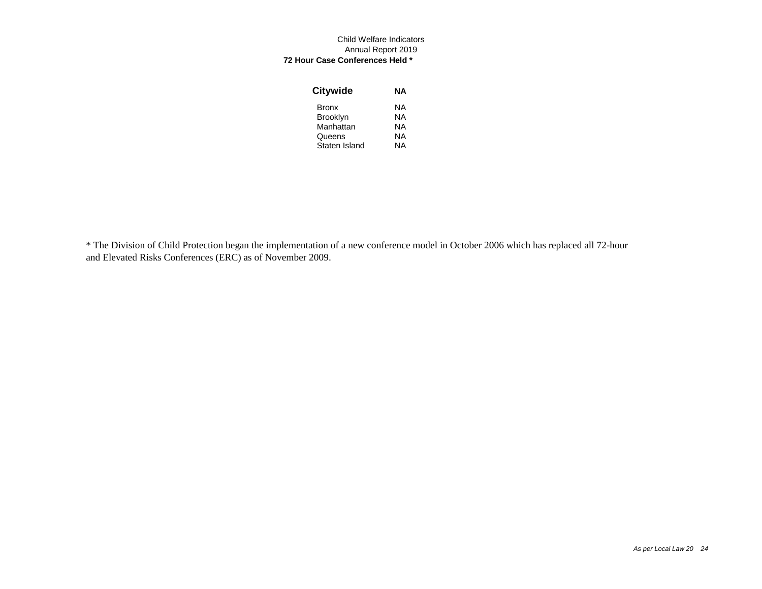#### Child Welfare Indicators Annual Report 2019  **72 Hour Case Conferences Held \***

| <b>Citywide</b> | NΑ |
|-----------------|----|
| <b>Bronx</b>    | ΝA |
| <b>Brooklyn</b> | ΝA |
| Manhattan       | ΝA |
| Queens          | NΑ |
| Staten Island   | NΑ |

\* The Division of Child Protection began the implementation of a new conference model in October 2006 which has replaced all 72-hour and Elevated Risks Conferences (ERC) as of November 2009.